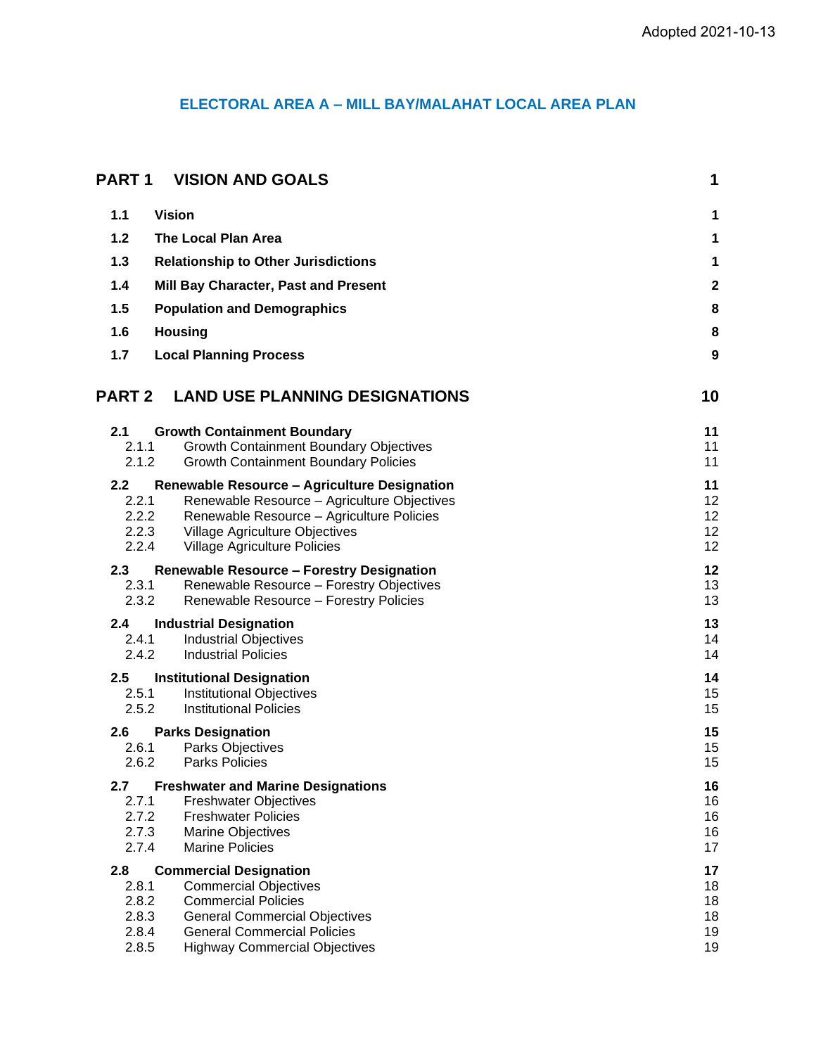# **ELECTORAL AREA A – MILL BAY/MALAHAT LOCAL AREA PLAN**

| <b>PART1</b>                                         | <b>VISION AND GOALS</b>                                                                                                                                                                                           | 1                                |
|------------------------------------------------------|-------------------------------------------------------------------------------------------------------------------------------------------------------------------------------------------------------------------|----------------------------------|
| 1.1                                                  | <b>Vision</b>                                                                                                                                                                                                     | 1                                |
| $1.2$                                                | <b>The Local Plan Area</b>                                                                                                                                                                                        | 1                                |
| 1.3                                                  | <b>Relationship to Other Jurisdictions</b>                                                                                                                                                                        | 1                                |
| 1.4                                                  | Mill Bay Character, Past and Present                                                                                                                                                                              | $\overline{\mathbf{c}}$          |
| 1.5                                                  | <b>Population and Demographics</b>                                                                                                                                                                                | 8                                |
| 1.6                                                  | <b>Housing</b>                                                                                                                                                                                                    | 8                                |
| 1.7                                                  | <b>Local Planning Process</b>                                                                                                                                                                                     | 9                                |
| <b>PART 2</b>                                        | <b>LAND USE PLANNING DESIGNATIONS</b>                                                                                                                                                                             | 10                               |
| 2.1<br>2.1.1<br>2.1.2                                | <b>Growth Containment Boundary</b><br><b>Growth Containment Boundary Objectives</b><br><b>Growth Containment Boundary Policies</b>                                                                                | 11<br>11<br>11                   |
| $2.2\phantom{0}$<br>2.2.1<br>2.2.2<br>2.2.3<br>2.2.4 | <b>Renewable Resource - Agriculture Designation</b><br>Renewable Resource - Agriculture Objectives<br>Renewable Resource - Agriculture Policies<br>Village Agriculture Objectives<br>Village Agriculture Policies | 11<br>12<br>12<br>12<br>12       |
| 2.3<br>2.3.1<br>2.3.2                                | <b>Renewable Resource - Forestry Designation</b><br>Renewable Resource - Forestry Objectives<br>Renewable Resource - Forestry Policies                                                                            | 12<br>13<br>13                   |
| 2.4<br>2.4.1<br>2.4.2                                | <b>Industrial Designation</b><br><b>Industrial Objectives</b><br><b>Industrial Policies</b>                                                                                                                       | 13<br>14<br>14                   |
| 2.5<br>2.5.1<br>2.5.2                                | <b>Institutional Designation</b><br><b>Institutional Objectives</b><br><b>Institutional Policies</b>                                                                                                              | 14<br>15<br>15                   |
| 2.6<br>2.6.1<br>2.6.2                                | <b>Parks Designation</b><br><b>Parks Objectives</b><br><b>Parks Policies</b>                                                                                                                                      | 15<br>15<br>15                   |
| 2.7<br>2.7.1<br>2.7.2<br>2.7.3<br>2.7.4              | <b>Freshwater and Marine Designations</b><br><b>Freshwater Objectives</b><br><b>Freshwater Policies</b><br><b>Marine Objectives</b><br><b>Marine Policies</b>                                                     | 16<br>16<br>16<br>16<br>17       |
| 2.8<br>2.8.1<br>2.8.2<br>2.8.3<br>2.8.4<br>2.8.5     | <b>Commercial Designation</b><br><b>Commercial Objectives</b><br><b>Commercial Policies</b><br><b>General Commercial Objectives</b><br><b>General Commercial Policies</b><br><b>Highway Commercial Objectives</b> | 17<br>18<br>18<br>18<br>19<br>19 |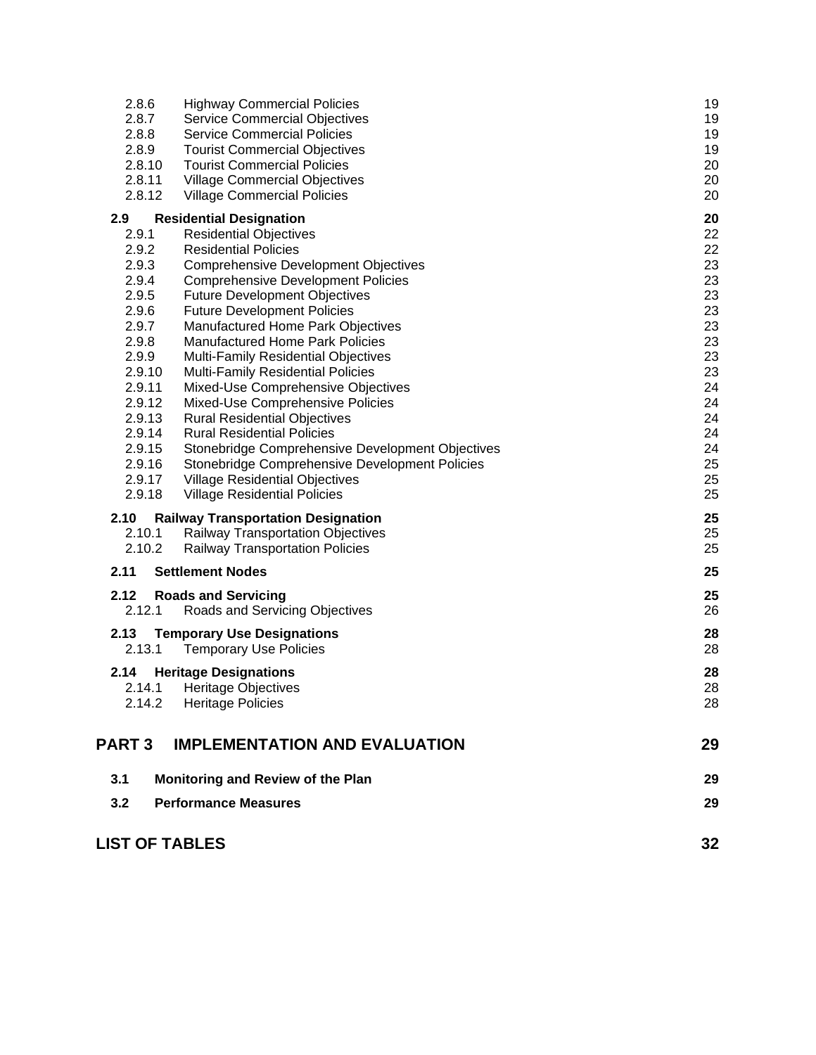| 2.8.6                 | <b>Highway Commercial Policies</b>                                         | 19       |
|-----------------------|----------------------------------------------------------------------------|----------|
| 2.8.7                 | <b>Service Commercial Objectives</b>                                       | 19       |
| 2.8.8                 | <b>Service Commercial Policies</b>                                         | 19       |
| 2.8.9                 | <b>Tourist Commercial Objectives</b><br><b>Tourist Commercial Policies</b> | 19       |
| 2.8.10<br>2.8.11      |                                                                            | 20<br>20 |
| 2.8.12                | <b>Village Commercial Objectives</b>                                       | 20       |
|                       | <b>Village Commercial Policies</b>                                         |          |
| 2.9                   | <b>Residential Designation</b>                                             | 20       |
| 2.9.1                 | <b>Residential Objectives</b>                                              | 22       |
| 2.9.2                 | <b>Residential Policies</b>                                                | 22       |
| 2.9.3                 | <b>Comprehensive Development Objectives</b>                                | 23       |
| 2.9.4<br>2.9.5        | <b>Comprehensive Development Policies</b>                                  | 23       |
| 2.9.6                 | <b>Future Development Objectives</b><br><b>Future Development Policies</b> | 23<br>23 |
| 2.9.7                 | Manufactured Home Park Objectives                                          | 23       |
| 2.9.8                 | <b>Manufactured Home Park Policies</b>                                     | 23       |
| 2.9.9                 | <b>Multi-Family Residential Objectives</b>                                 | 23       |
| 2.9.10                | Multi-Family Residential Policies                                          | 23       |
| 2.9.11                | Mixed-Use Comprehensive Objectives                                         | 24       |
| 2.9.12                | Mixed-Use Comprehensive Policies                                           | 24       |
| 2.9.13                | <b>Rural Residential Objectives</b>                                        | 24       |
| 2.9.14                | <b>Rural Residential Policies</b>                                          | 24       |
| 2.9.15                | Stonebridge Comprehensive Development Objectives                           | 24       |
| 2.9.16                | Stonebridge Comprehensive Development Policies                             | 25       |
| 2.9.17                | <b>Village Residential Objectives</b>                                      | 25       |
| 2.9.18                | <b>Village Residential Policies</b>                                        | 25       |
| 2.10                  | <b>Railway Transportation Designation</b>                                  | 25       |
| 2.10.1                | Railway Transportation Objectives                                          | 25       |
| 2.10.2                | <b>Railway Transportation Policies</b>                                     | 25       |
| 2.11                  | <b>Settlement Nodes</b>                                                    | 25       |
| 2.12                  | <b>Roads and Servicing</b>                                                 | 25       |
| 2.12.1                | Roads and Servicing Objectives                                             | 26       |
| 2.13                  | <b>Temporary Use Designations</b>                                          | 28       |
| 2.13.1                | <b>Temporary Use Policies</b>                                              | 28       |
|                       |                                                                            |          |
| 2.14                  | <b>Heritage Designations</b>                                               | 28       |
| 2.14.1                | <b>Heritage Objectives</b>                                                 | 28       |
| 2.14.2                | <b>Heritage Policies</b>                                                   | 28       |
|                       |                                                                            |          |
| <b>PART 3</b>         | <b>IMPLEMENTATION AND EVALUATION</b>                                       | 29       |
| 3.1                   | Monitoring and Review of the Plan                                          | 29       |
| 3.2                   | <b>Performance Measures</b>                                                | 29       |
|                       |                                                                            |          |
| <b>LIST OF TABLES</b> |                                                                            | 32       |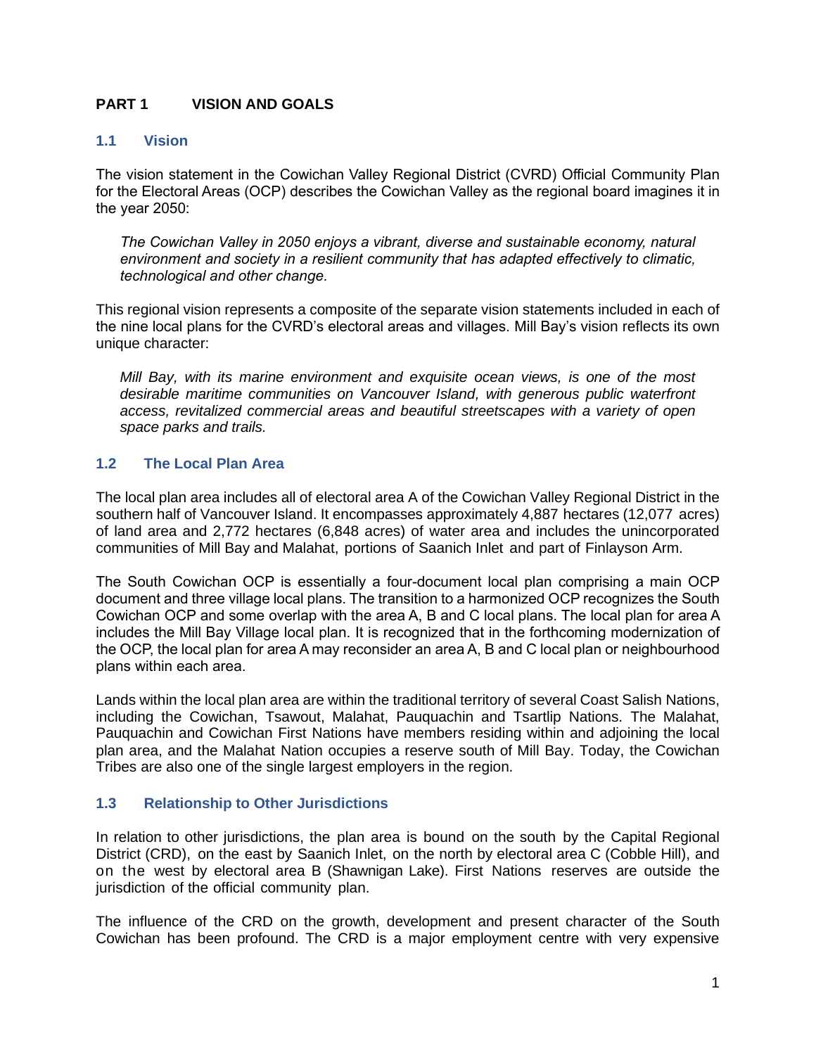## <span id="page-2-0"></span>**PART 1 VISION AND GOALS**

#### <span id="page-2-1"></span>**1.1 Vision**

The vision statement in the Cowichan Valley Regional District (CVRD) Official Community Plan for the Electoral Areas (OCP) describes the Cowichan Valley as the regional board imagines it in the year 2050:

*The Cowichan Valley in 2050 enjoys a vibrant, diverse and sustainable economy, natural environment and society in a resilient community that has adapted effectively to climatic, technological and other change.*

This regional vision represents a composite of the separate vision statements included in each of the nine local plans for the CVRD's electoral areas and villages. Mill Bay's vision reflects its own unique character:

*Mill Bay, with its marine environment and exquisite ocean views, is one of the most desirable maritime communities on Vancouver Island, with generous public waterfront access, revitalized commercial areas and beautiful streetscapes with a variety of open space parks and trails.*

## <span id="page-2-2"></span>**1.2 The Local Plan Area**

The local plan area includes all of electoral area A of the Cowichan Valley Regional District in the southern half of Vancouver Island. It encompasses approximately 4,887 hectares (12,077 acres) of land area and 2,772 hectares (6,848 acres) of water area and includes the unincorporated communities of Mill Bay and Malahat, portions of Saanich Inlet and part of Finlayson Arm.

The South Cowichan OCP is essentially a four-document local plan comprising a main OCP document and three village local plans. The transition to a harmonized OCP recognizes the South Cowichan OCP and some overlap with the area A, B and C local plans. The local plan for area A includes the Mill Bay Village local plan. It is recognized that in the forthcoming modernization of the OCP, the local plan for area A may reconsider an area A, B and C local plan or neighbourhood plans within each area.

Lands within the local plan area are within the traditional territory of several Coast Salish Nations, including the Cowichan, Tsawout, Malahat, Pauquachin and Tsartlip Nations. The Malahat, Pauquachin and Cowichan First Nations have members residing within and adjoining the local plan area, and the Malahat Nation occupies a reserve south of Mill Bay. Today, the Cowichan Tribes are also one of the single largest employers in the region.

## <span id="page-2-3"></span>**1.3 Relationship to Other Jurisdictions**

In relation to other jurisdictions, the plan area is bound on the south by the Capital Regional District (CRD), on the east by Saanich Inlet, on the north by electoral area C (Cobble Hill), and on the west by electoral area B (Shawnigan Lake). First Nations reserves are outside the jurisdiction of the official community plan.

The influence of the CRD on the growth, development and present character of the South Cowichan has been profound. The CRD is a major employment centre with very expensive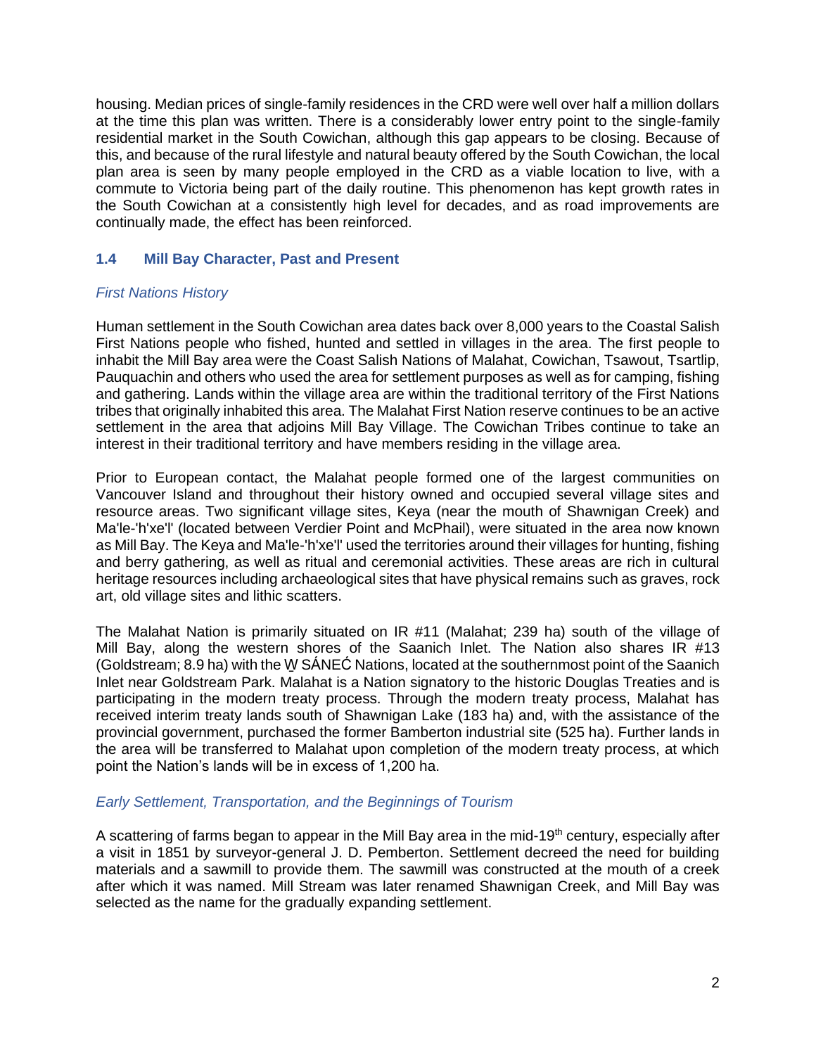housing. Median prices of single-family residences in the CRD were well over half a million dollars at the time this plan was written. There is a considerably lower entry point to the single-family residential market in the South Cowichan, although this gap appears to be closing. Because of this, and because of the rural lifestyle and natural beauty offered by the South Cowichan, the local plan area is seen by many people employed in the CRD as a viable location to live, with a commute to Victoria being part of the daily routine. This phenomenon has kept growth rates in the South Cowichan at a consistently high level for decades, and as road improvements are continually made, the effect has been reinforced.

## <span id="page-3-0"></span>**1.4 Mill Bay Character, Past and Present**

## *First Nations History*

Human settlement in the South Cowichan area dates back over 8,000 years to the Coastal Salish First Nations people who fished, hunted and settled in villages in the area. The first people to inhabit the Mill Bay area were the Coast Salish Nations of Malahat, Cowichan, Tsawout, Tsartlip, Pauquachin and others who used the area for settlement purposes as well as for camping, fishing and gathering. Lands within the village area are within the traditional territory of the First Nations tribes that originally inhabited this area. The Malahat First Nation reserve continues to be an active settlement in the area that adjoins Mill Bay Village. The Cowichan Tribes continue to take an interest in their traditional territory and have members residing in the village area.

Prior to European contact, the Malahat people formed one of the largest communities on Vancouver Island and throughout their history owned and occupied several village sites and resource areas. Two significant village sites, Keya (near the mouth of Shawnigan Creek) and Ma'le-'h'xe'l' (located between Verdier Point and McPhail), were situated in the area now known as Mill Bay. The Keya and Ma'le-'h'xe'l' used the territories around their villages for hunting, fishing and berry gathering, as well as ritual and ceremonial activities. These areas are rich in cultural heritage resources including archaeological sites that have physical remains such as graves, rock art, old village sites and lithic scatters.

The Malahat Nation is primarily situated on IR #11 (Malahat; 239 ha) south of the village of Mill Bay, along the western shores of the Saanich Inlet. The Nation also shares IR #13 (Goldstream; 8.9 ha) with the W̱ SÁNEĆ Nations, located at the southernmost point of the Saanich Inlet near Goldstream Park. Malahat is a Nation signatory to the historic Douglas Treaties and is participating in the modern treaty process. Through the modern treaty process, Malahat has received interim treaty lands south of Shawnigan Lake (183 ha) and, with the assistance of the provincial government, purchased the former Bamberton industrial site (525 ha). Further lands in the area will be transferred to Malahat upon completion of the modern treaty process, at which point the Nation's lands will be in excess of 1,200 ha.

## *Early Settlement, Transportation, and the Beginnings of Tourism*

A scattering of farms began to appear in the Mill Bay area in the mid-19<sup>th</sup> century, especially after a visit in 1851 by surveyor-general J. D. Pemberton. Settlement decreed the need for building materials and a sawmill to provide them. The sawmill was constructed at the mouth of a creek after which it was named. Mill Stream was later renamed Shawnigan Creek, and Mill Bay was selected as the name for the gradually expanding settlement.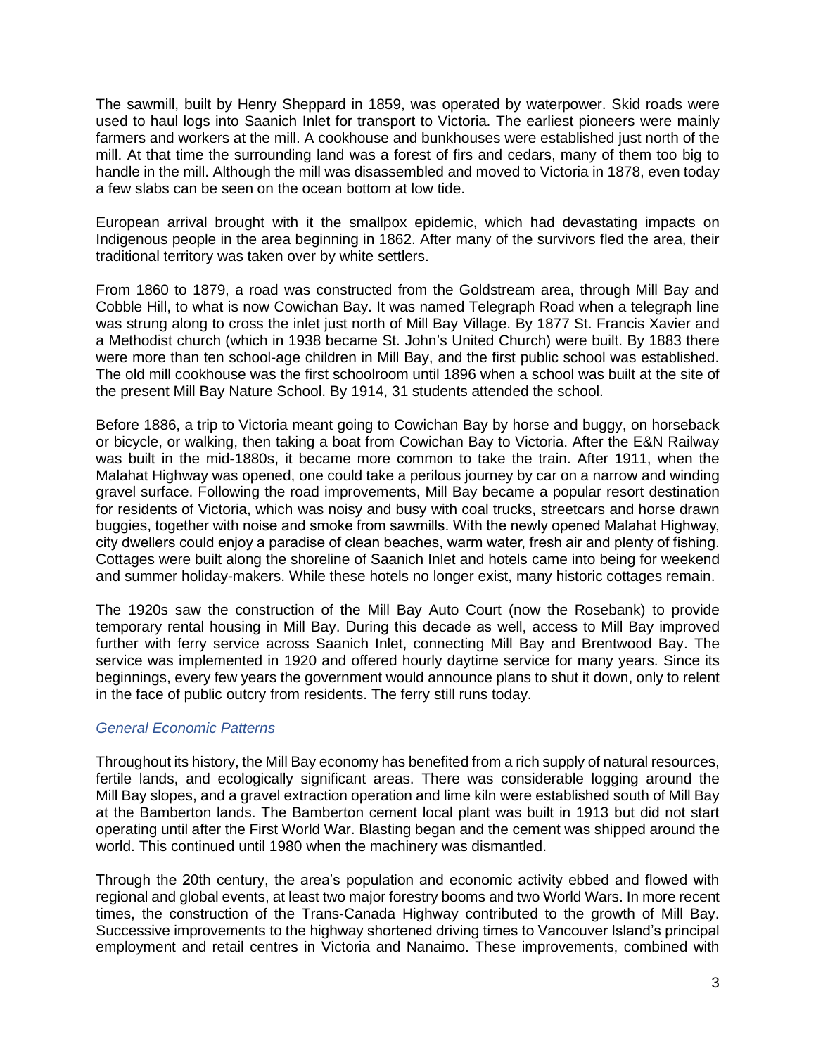The sawmill, built by Henry Sheppard in 1859, was operated by waterpower. Skid roads were used to haul logs into Saanich Inlet for transport to Victoria. The earliest pioneers were mainly farmers and workers at the mill. A cookhouse and bunkhouses were established just north of the mill. At that time the surrounding land was a forest of firs and cedars, many of them too big to handle in the mill. Although the mill was disassembled and moved to Victoria in 1878, even today a few slabs can be seen on the ocean bottom at low tide.

European arrival brought with it the smallpox epidemic, which had devastating impacts on Indigenous people in the area beginning in 1862. After many of the survivors fled the area, their traditional territory was taken over by white settlers.

From 1860 to 1879, a road was constructed from the Goldstream area, through Mill Bay and Cobble Hill, to what is now Cowichan Bay. It was named Telegraph Road when a telegraph line was strung along to cross the inlet just north of Mill Bay Village. By 1877 St. Francis Xavier and a Methodist church (which in 1938 became St. John's United Church) were built. By 1883 there were more than ten school-age children in Mill Bay, and the first public school was established. The old mill cookhouse was the first schoolroom until 1896 when a school was built at the site of the present Mill Bay Nature School. By 1914, 31 students attended the school.

Before 1886, a trip to Victoria meant going to Cowichan Bay by horse and buggy, on horseback or bicycle, or walking, then taking a boat from Cowichan Bay to Victoria. After the E&N Railway was built in the mid-1880s, it became more common to take the train. After 1911, when the Malahat Highway was opened, one could take a perilous journey by car on a narrow and winding gravel surface. Following the road improvements, Mill Bay became a popular resort destination for residents of Victoria, which was noisy and busy with coal trucks, streetcars and horse drawn buggies, together with noise and smoke from sawmills. With the newly opened Malahat Highway, city dwellers could enjoy a paradise of clean beaches, warm water, fresh air and plenty of fishing. Cottages were built along the shoreline of Saanich Inlet and hotels came into being for weekend and summer holiday-makers. While these hotels no longer exist, many historic cottages remain.

The 1920s saw the construction of the Mill Bay Auto Court (now the Rosebank) to provide temporary rental housing in Mill Bay. During this decade as well, access to Mill Bay improved further with ferry service across Saanich Inlet, connecting Mill Bay and Brentwood Bay. The service was implemented in 1920 and offered hourly daytime service for many years. Since its beginnings, every few years the government would announce plans to shut it down, only to relent in the face of public outcry from residents. The ferry still runs today.

## *General Economic Patterns*

Throughout its history, the Mill Bay economy has benefited from a rich supply of natural resources, fertile lands, and ecologically significant areas. There was considerable logging around the Mill Bay slopes, and a gravel extraction operation and lime kiln were established south of Mill Bay at the Bamberton lands. The Bamberton cement local plant was built in 1913 but did not start operating until after the First World War. Blasting began and the cement was shipped around the world. This continued until 1980 when the machinery was dismantled.

Through the 20th century, the area's population and economic activity ebbed and flowed with regional and global events, at least two major forestry booms and two World Wars. In more recent times, the construction of the Trans-Canada Highway contributed to the growth of Mill Bay. Successive improvements to the highway shortened driving times to Vancouver Island's principal employment and retail centres in Victoria and Nanaimo. These improvements, combined with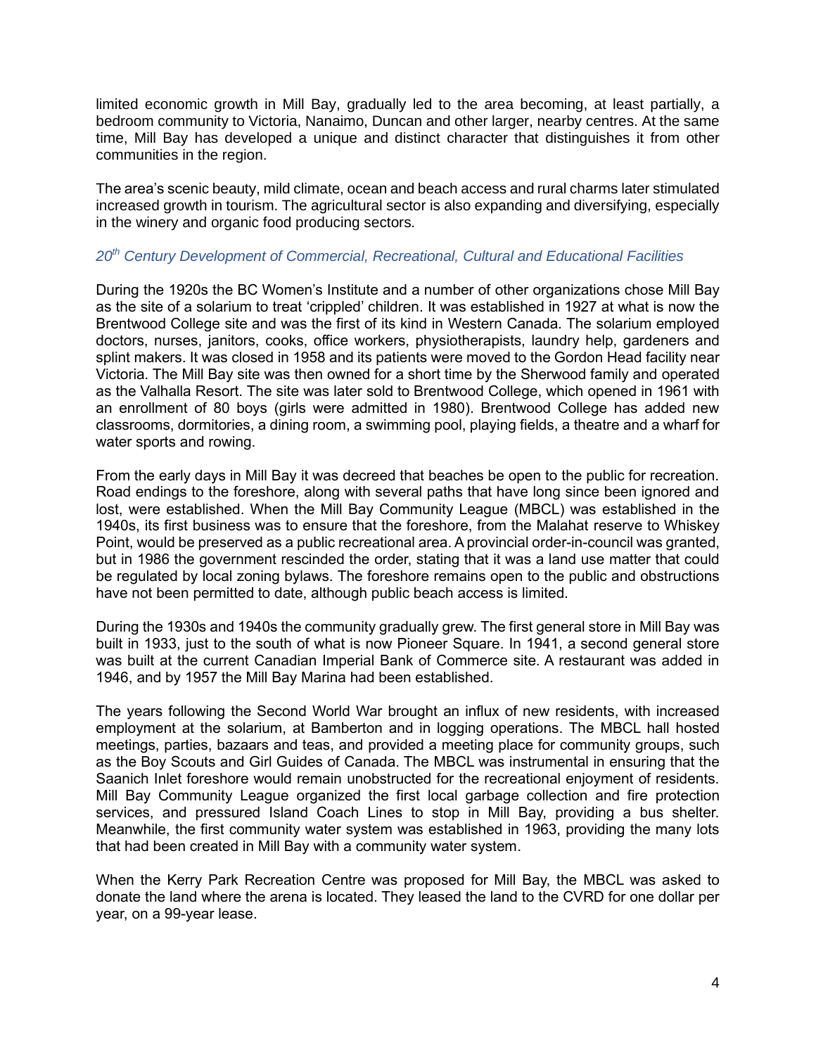limited economic growth in Mill Bay, gradually led to the area becoming, at least partially, a bedroom community to Victoria, Nanaimo, Duncan and other larger, nearby centres. At the same time, Mill Bay has developed a unique and distinct character that distinguishes it from other communities in the region.

The area's scenic beauty, mild climate, ocean and beach access and rural charms later stimulated increased growth in tourism. The agricultural sector is also expanding and diversifying, especially in the winery and organic food producing sectors.

## *20th Century Development of Commercial, Recreational, Cultural and Educational Facilities*

During the 1920s the BC Women's Institute and a number of other organizations chose Mill Bay as the site of a solarium to treat 'crippled' children. It was established in 1927 at what is now the Brentwood College site and was the first of its kind in Western Canada. The solarium employed doctors, nurses, janitors, cooks, office workers, physiotherapists, laundry help, gardeners and splint makers. It was closed in 1958 and its patients were moved to the Gordon Head facility near Victoria. The Mill Bay site was then owned for a short time by the Sherwood family and operated as the Valhalla Resort. The site was later sold to Brentwood College, which opened in 1961 with an enrollment of 80 boys (girls were admitted in 1980). Brentwood College has added new classrooms, dormitories, a dining room, a swimming pool, playing fields, a theatre and a wharf for water sports and rowing.

From the early days in Mill Bay it was decreed that beaches be open to the public for recreation. Road endings to the foreshore, along with several paths that have long since been ignored and lost, were established. When the Mill Bay Community League (MBCL) was established in the 1940s, its first business was to ensure that the foreshore, from the Malahat reserve to Whiskey Point, would be preserved as a public recreational area. A provincial order-in-council was granted, but in 1986 the government rescinded the order, stating that it was a land use matter that could be regulated by local zoning bylaws. The foreshore remains open to the public and obstructions have not been permitted to date, although public beach access is limited.

During the 1930s and 1940s the community gradually grew. The first general store in Mill Bay was built in 1933, just to the south of what is now Pioneer Square. In 1941, a second general store was built at the current Canadian Imperial Bank of Commerce site. A restaurant was added in 1946, and by 1957 the Mill Bay Marina had been established.

The years following the Second World War brought an influx of new residents, with increased employment at the solarium, at Bamberton and in logging operations. The MBCL hall hosted meetings, parties, bazaars and teas, and provided a meeting place for community groups, such as the Boy Scouts and Girl Guides of Canada. The MBCL was instrumental in ensuring that the Saanich Inlet foreshore would remain unobstructed for the recreational enjoyment of residents. Mill Bay Community League organized the first local garbage collection and fire protection services, and pressured Island Coach Lines to stop in Mill Bay, providing a bus shelter. Meanwhile, the first community water system was established in 1963, providing the many lots that had been created in Mill Bay with a community water system.

When the Kerry Park Recreation Centre was proposed for Mill Bay, the MBCL was asked to donate the land where the arena is located. They leased the land to the CVRD for one dollar per year, on a 99-year lease.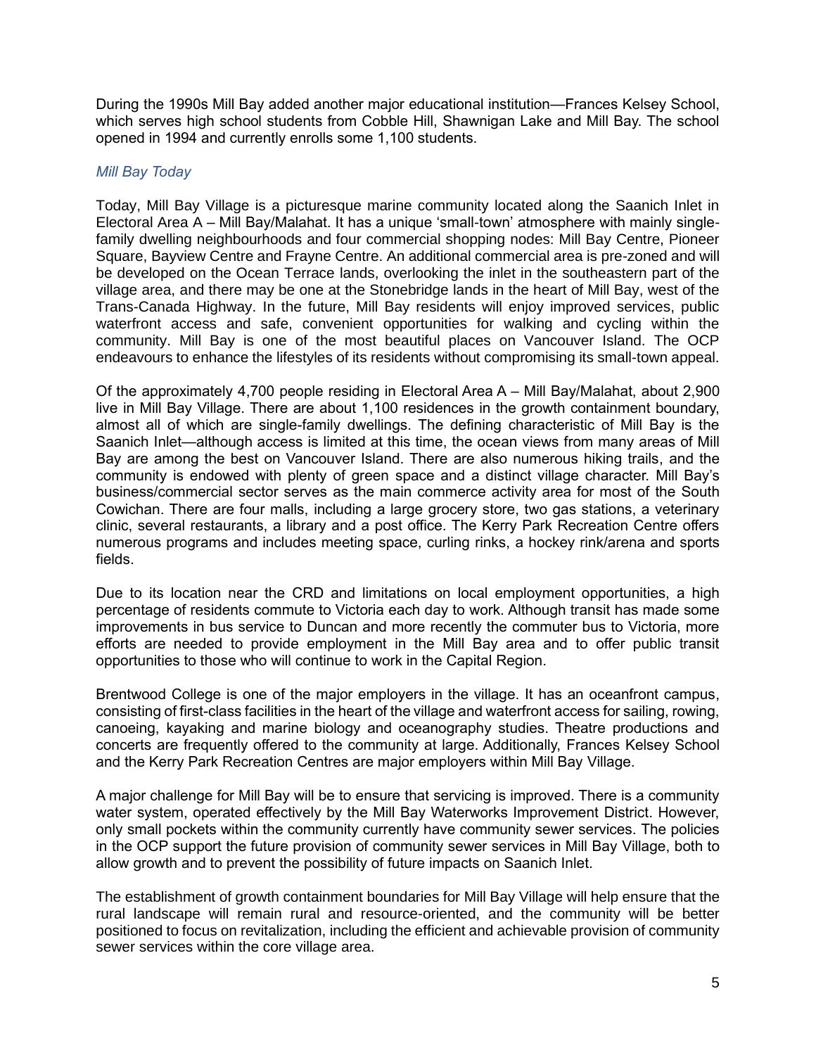During the 1990s Mill Bay added another major educational institution—Frances Kelsey School, which serves high school students from Cobble Hill, Shawnigan Lake and Mill Bay. The school opened in 1994 and currently enrolls some 1,100 students.

## *Mill Bay Today*

Today, Mill Bay Village is a picturesque marine community located along the Saanich Inlet in Electoral Area A – Mill Bay/Malahat. It has a unique 'small-town' atmosphere with mainly singlefamily dwelling neighbourhoods and four commercial shopping nodes: Mill Bay Centre, Pioneer Square, Bayview Centre and Frayne Centre. An additional commercial area is pre-zoned and will be developed on the Ocean Terrace lands, overlooking the inlet in the southeastern part of the village area, and there may be one at the Stonebridge lands in the heart of Mill Bay, west of the Trans-Canada Highway. In the future, Mill Bay residents will enjoy improved services, public waterfront access and safe, convenient opportunities for walking and cycling within the community. Mill Bay is one of the most beautiful places on Vancouver Island. The OCP endeavours to enhance the lifestyles of its residents without compromising its small-town appeal.

Of the approximately 4,700 people residing in Electoral Area A – Mill Bay/Malahat, about 2,900 live in Mill Bay Village. There are about 1,100 residences in the growth containment boundary, almost all of which are single-family dwellings. The defining characteristic of Mill Bay is the Saanich Inlet—although access is limited at this time, the ocean views from many areas of Mill Bay are among the best on Vancouver Island. There are also numerous hiking trails, and the community is endowed with plenty of green space and a distinct village character. Mill Bay's business/commercial sector serves as the main commerce activity area for most of the South Cowichan. There are four malls, including a large grocery store, two gas stations, a veterinary clinic, several restaurants, a library and a post office. The Kerry Park Recreation Centre offers numerous programs and includes meeting space, curling rinks, a hockey rink/arena and sports fields.

Due to its location near the CRD and limitations on local employment opportunities, a high percentage of residents commute to Victoria each day to work. Although transit has made some improvements in bus service to Duncan and more recently the commuter bus to Victoria, more efforts are needed to provide employment in the Mill Bay area and to offer public transit opportunities to those who will continue to work in the Capital Region.

Brentwood College is one of the major employers in the village. It has an oceanfront campus, consisting of first-class facilities in the heart of the village and waterfront access for sailing, rowing, canoeing, kayaking and marine biology and oceanography studies. Theatre productions and concerts are frequently offered to the community at large. Additionally, Frances Kelsey School and the Kerry Park Recreation Centres are major employers within Mill Bay Village.

A major challenge for Mill Bay will be to ensure that servicing is improved. There is a community water system, operated effectively by the Mill Bay Waterworks Improvement District. However, only small pockets within the community currently have community sewer services. The policies in the OCP support the future provision of community sewer services in Mill Bay Village, both to allow growth and to prevent the possibility of future impacts on Saanich Inlet.

The establishment of growth containment boundaries for Mill Bay Village will help ensure that the rural landscape will remain rural and resource-oriented, and the community will be better positioned to focus on revitalization, including the efficient and achievable provision of community sewer services within the core village area.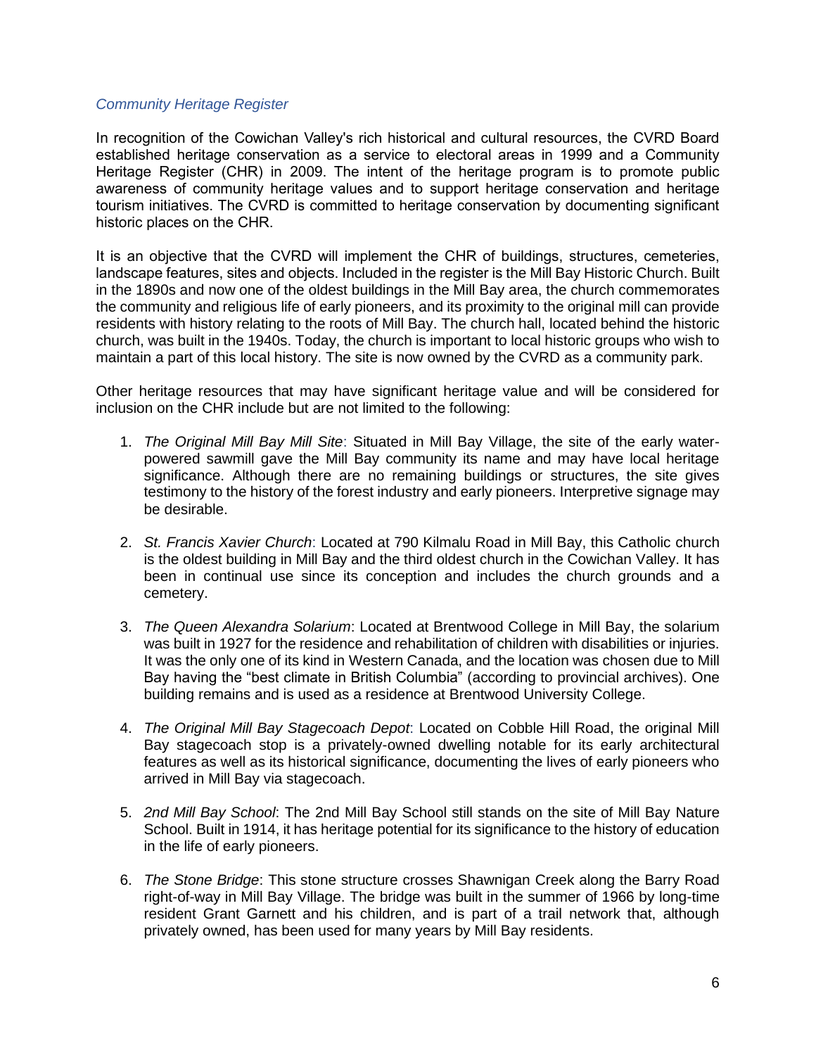#### *Community Heritage Register*

In recognition of the Cowichan Valley's rich historical and cultural resources, the CVRD Board established heritage conservation as a service to electoral areas in 1999 and a Community Heritage Register (CHR) in 2009. The intent of the heritage program is to promote public awareness of community heritage values and to support heritage conservation and heritage tourism initiatives. The CVRD is committed to heritage conservation by documenting significant historic places on the CHR.

It is an objective that the CVRD will implement the CHR of buildings, structures, cemeteries, landscape features, sites and objects. Included in the register is the Mill Bay Historic Church. Built in the 1890s and now one of the oldest buildings in the Mill Bay area, the church commemorates the community and religious life of early pioneers, and its proximity to the original mill can provide residents with history relating to the roots of Mill Bay. The church hall, located behind the historic church, was built in the 1940s. Today, the church is important to local historic groups who wish to maintain a part of this local history. The site is now owned by the CVRD as a community park.

Other heritage resources that may have significant heritage value and will be considered for inclusion on the CHR include but are not limited to the following:

- 1. *The Original Mill Bay Mill Site*: Situated in Mill Bay Village, the site of the early waterpowered sawmill gave the Mill Bay community its name and may have local heritage significance. Although there are no remaining buildings or structures, the site gives testimony to the history of the forest industry and early pioneers. Interpretive signage may be desirable.
- 2. *St. Francis Xavier Church*: Located at 790 Kilmalu Road in Mill Bay, this Catholic church is the oldest building in Mill Bay and the third oldest church in the Cowichan Valley. It has been in continual use since its conception and includes the church grounds and a cemetery.
- 3. *The Queen Alexandra Solarium*: Located at Brentwood College in Mill Bay, the solarium was built in 1927 for the residence and rehabilitation of children with disabilities or injuries. It was the only one of its kind in Western Canada, and the location was chosen due to Mill Bay having the "best climate in British Columbia" (according to provincial archives). One building remains and is used as a residence at Brentwood University College.
- 4. *The Original Mill Bay Stagecoach Depot*: Located on Cobble Hill Road, the original Mill Bay stagecoach stop is a privately-owned dwelling notable for its early architectural features as well as its historical significance, documenting the lives of early pioneers who arrived in Mill Bay via stagecoach.
- 5. *2nd Mill Bay School*: The 2nd Mill Bay School still stands on the site of Mill Bay Nature School. Built in 1914, it has heritage potential for its significance to the history of education in the life of early pioneers.
- 6. *The Stone Bridge*: This stone structure crosses Shawnigan Creek along the Barry Road right-of-way in Mill Bay Village. The bridge was built in the summer of 1966 by long-time resident Grant Garnett and his children, and is part of a trail network that, although privately owned, has been used for many years by Mill Bay residents.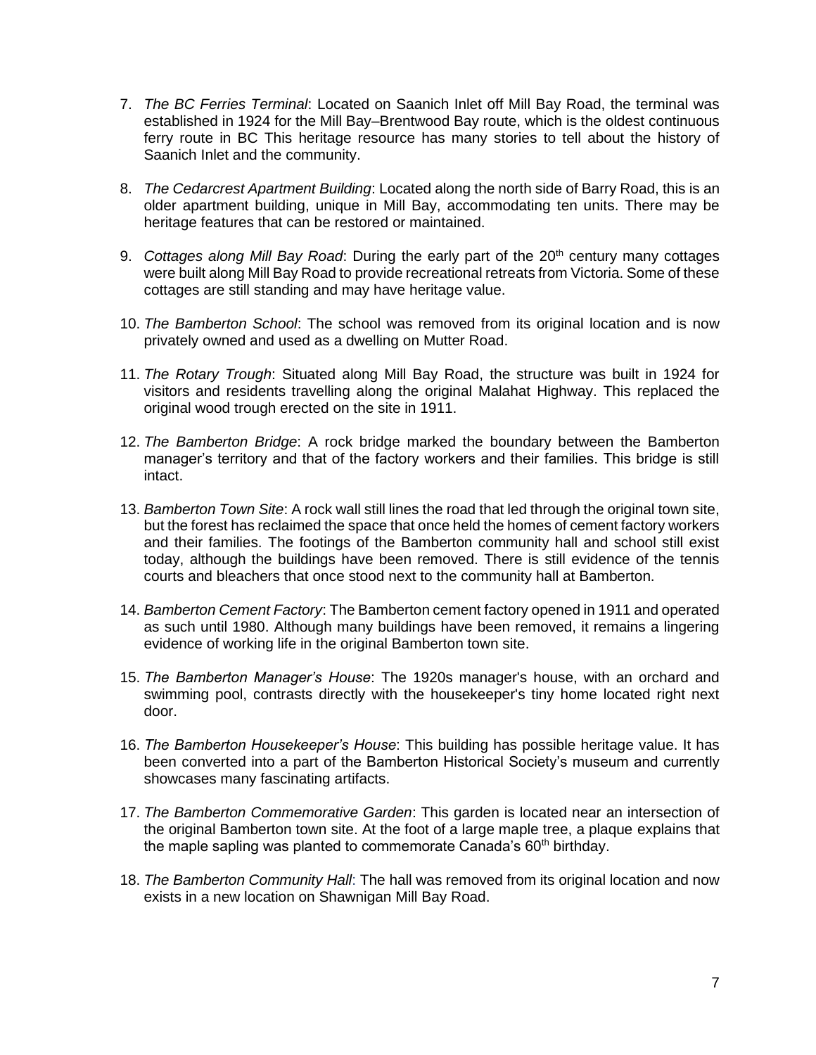- 7. *The BC Ferries Terminal*: Located on Saanich Inlet off Mill Bay Road, the terminal was established in 1924 for the Mill Bay–Brentwood Bay route, which is the oldest continuous ferry route in BC This heritage resource has many stories to tell about the history of Saanich Inlet and the community.
- 8. *The Cedarcrest Apartment Building*: Located along the north side of Barry Road, this is an older apartment building, unique in Mill Bay, accommodating ten units. There may be heritage features that can be restored or maintained.
- 9. *Cottages along Mill Bay Road*: During the early part of the 20<sup>th</sup> century many cottages were built along Mill Bay Road to provide recreational retreats from Victoria. Some of these cottages are still standing and may have heritage value.
- 10. *The Bamberton School*: The school was removed from its original location and is now privately owned and used as a dwelling on Mutter Road.
- 11. *The Rotary Trough*: Situated along Mill Bay Road, the structure was built in 1924 for visitors and residents travelling along the original Malahat Highway. This replaced the original wood trough erected on the site in 1911.
- 12. *The Bamberton Bridge*: A rock bridge marked the boundary between the Bamberton manager's territory and that of the factory workers and their families. This bridge is still intact.
- 13. *Bamberton Town Site*: A rock wall still lines the road that led through the original town site, but the forest has reclaimed the space that once held the homes of cement factory workers and their families. The footings of the Bamberton community hall and school still exist today, although the buildings have been removed. There is still evidence of the tennis courts and bleachers that once stood next to the community hall at Bamberton.
- 14. *Bamberton Cement Factory*: The Bamberton cement factory opened in 1911 and operated as such until 1980. Although many buildings have been removed, it remains a lingering evidence of working life in the original Bamberton town site.
- 15. *The Bamberton Manager's House*: The 1920s manager's house, with an orchard and swimming pool, contrasts directly with the housekeeper's tiny home located right next door.
- 16. *The Bamberton Housekeeper's House*: This building has possible heritage value. It has been converted into a part of the Bamberton Historical Society's museum and currently showcases many fascinating artifacts.
- 17. *The Bamberton Commemorative Garden*: This garden is located near an intersection of the original Bamberton town site. At the foot of a large maple tree, a plaque explains that the maple sapling was planted to commemorate Canada's  $60<sup>th</sup>$  birthday.
- 18. *The Bamberton Community Hall*: The hall was removed from its original location and now exists in a new location on Shawnigan Mill Bay Road.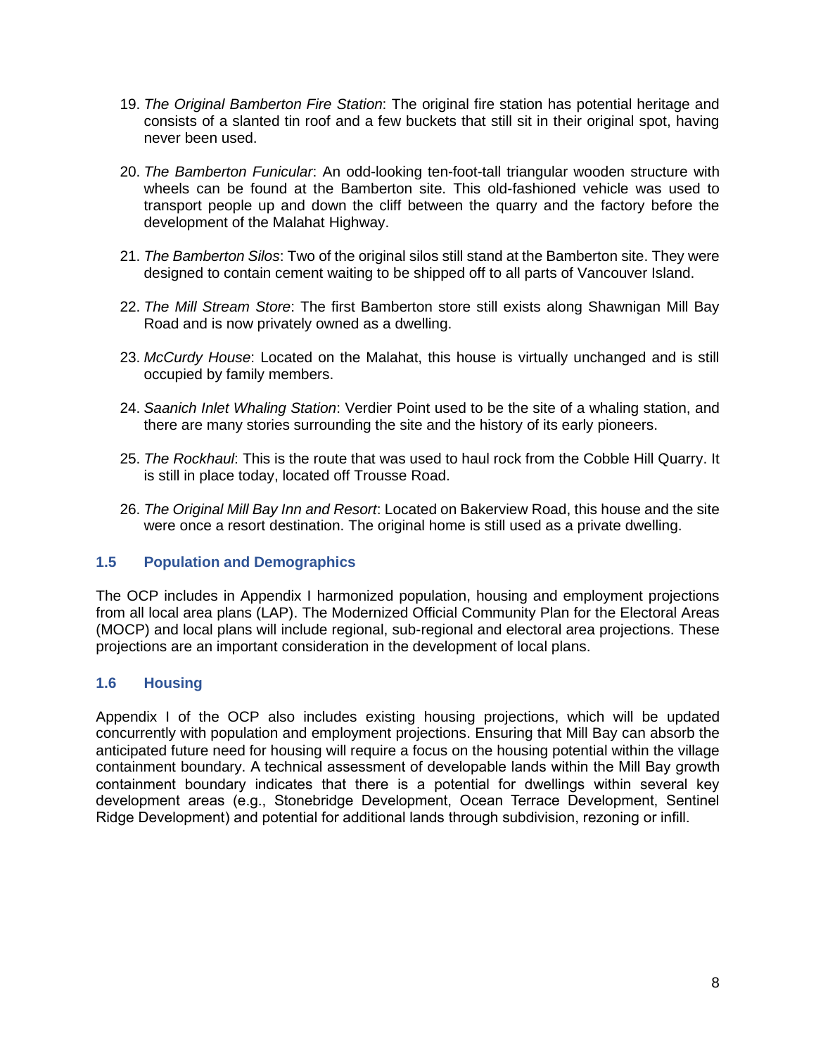- 19. *The Original Bamberton Fire Station*: The original fire station has potential heritage and consists of a slanted tin roof and a few buckets that still sit in their original spot, having never been used.
- 20. *The Bamberton Funicular*: An odd-looking ten-foot-tall triangular wooden structure with wheels can be found at the Bamberton site. This old-fashioned vehicle was used to transport people up and down the cliff between the quarry and the factory before the development of the Malahat Highway.
- 21. *The Bamberton Silos*: Two of the original silos still stand at the Bamberton site. They were designed to contain cement waiting to be shipped off to all parts of Vancouver Island.
- 22. *The Mill Stream Store*: The first Bamberton store still exists along Shawnigan Mill Bay Road and is now privately owned as a dwelling.
- 23. *McCurdy House*: Located on the Malahat, this house is virtually unchanged and is still occupied by family members.
- 24. *Saanich Inlet Whaling Station*: Verdier Point used to be the site of a whaling station, and there are many stories surrounding the site and the history of its early pioneers.
- 25. *The Rockhaul*: This is the route that was used to haul rock from the Cobble Hill Quarry. It is still in place today, located off Trousse Road.
- 26. *The Original Mill Bay Inn and Resort*: Located on Bakerview Road, this house and the site were once a resort destination. The original home is still used as a private dwelling.

## <span id="page-9-0"></span>**1.5 Population and Demographics**

The OCP includes in Appendix I harmonized population, housing and employment projections from all local area plans (LAP). The Modernized Official Community Plan for the Electoral Areas (MOCP) and local plans will include regional, sub-regional and electoral area projections. These projections are an important consideration in the development of local plans.

## <span id="page-9-1"></span>**1.6 Housing**

Appendix I of the OCP also includes existing housing projections, which will be updated concurrently with population and employment projections. Ensuring that Mill Bay can absorb the anticipated future need for housing will require a focus on the housing potential within the village containment boundary. A technical assessment of developable lands within the Mill Bay growth containment boundary indicates that there is a potential for dwellings within several key development areas (e.g., Stonebridge Development, Ocean Terrace Development, Sentinel Ridge Development) and potential for additional lands through subdivision, rezoning or infill.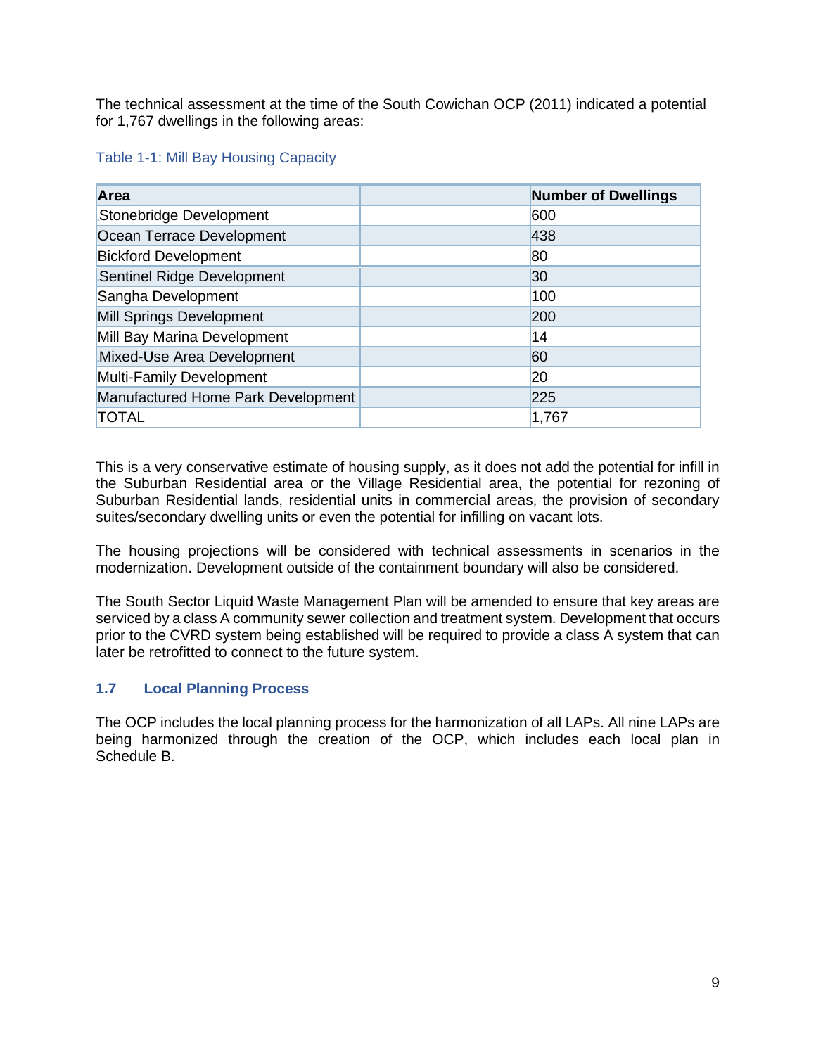The technical assessment at the time of the South Cowichan OCP (2011) indicated a potential for 1,767 dwellings in the following areas:

## <span id="page-10-1"></span>Table 1-1: Mill Bay Housing Capacity

| Area                               | <b>Number of Dwellings</b> |
|------------------------------------|----------------------------|
| Stonebridge Development            | 600                        |
| Ocean Terrace Development          | 438                        |
| <b>Bickford Development</b>        | 80                         |
| Sentinel Ridge Development         | 30                         |
| Sangha Development                 | 100                        |
| Mill Springs Development           | 200                        |
| Mill Bay Marina Development        | 14                         |
| Mixed-Use Area Development         | 60                         |
| Multi-Family Development           | 20                         |
| Manufactured Home Park Development | 225                        |
| <b>TOTAL</b>                       | 1,767                      |

This is a very conservative estimate of housing supply, as it does not add the potential for infill in the Suburban Residential area or the Village Residential area, the potential for rezoning of Suburban Residential lands, residential units in commercial areas, the provision of secondary suites/secondary dwelling units or even the potential for infilling on vacant lots.

The housing projections will be considered with technical assessments in scenarios in the modernization. Development outside of the containment boundary will also be considered.

The South Sector Liquid Waste Management Plan will be amended to ensure that key areas are serviced by a class A community sewer collection and treatment system. Development that occurs prior to the CVRD system being established will be required to provide a class A system that can later be retrofitted to connect to the future system.

## <span id="page-10-0"></span>**1.7 Local Planning Process**

The OCP includes the local planning process for the harmonization of all LAPs. All nine LAPs are being harmonized through the creation of the OCP, which includes each local plan in Schedule B.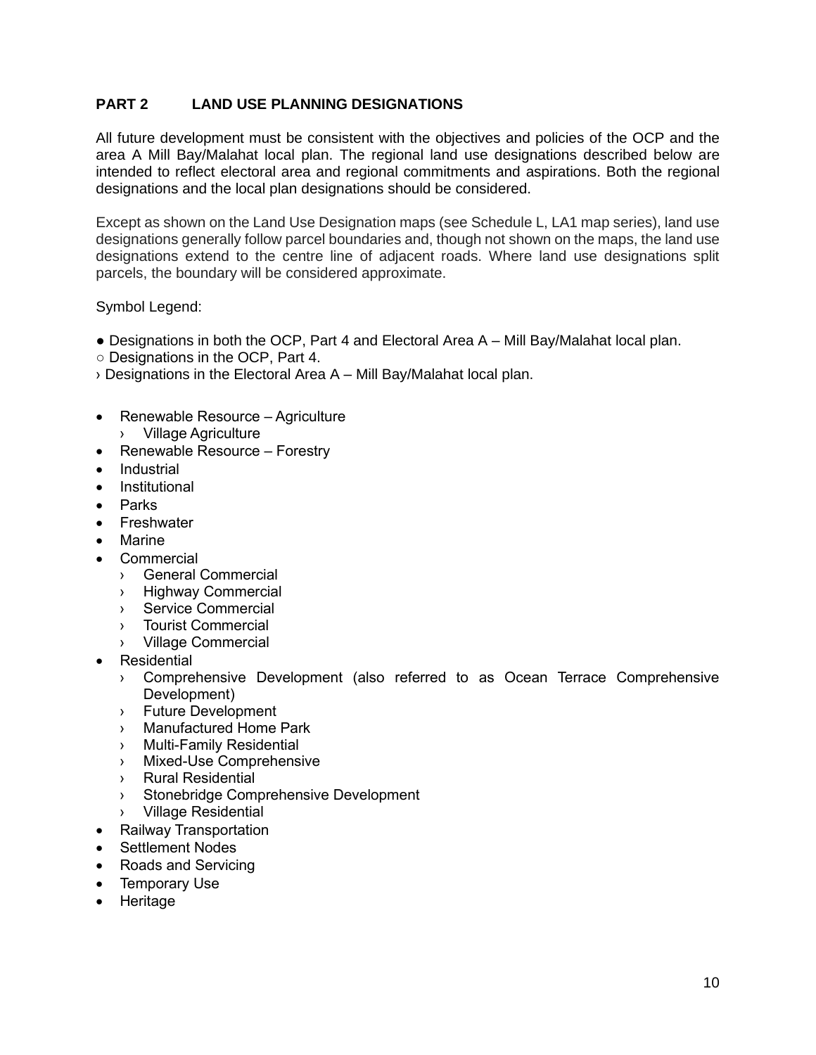## <span id="page-11-0"></span>**PART 2 LAND USE PLANNING DESIGNATIONS**

All future development must be consistent with the objectives and policies of the OCP and the area A Mill Bay/Malahat local plan. The regional land use designations described below are intended to reflect electoral area and regional commitments and aspirations. Both the regional designations and the local plan designations should be considered.

Except as shown on the Land Use Designation maps (see Schedule L, LA1 map series), land use designations generally follow parcel boundaries and, though not shown on the maps, the land use designations extend to the centre line of adjacent roads. Where land use designations split parcels, the boundary will be considered approximate.

Symbol Legend:

- Designations in both the OCP, Part 4 and Electoral Area A Mill Bay/Malahat local plan.
- Designations in the OCP, Part 4.
- › Designations in the Electoral Area A Mill Bay/Malahat local plan.
- Renewable Resource Agriculture › Village Agriculture
- Renewable Resource Forestry
- Industrial
- **Institutional**
- Parks
- **Freshwater**
- **Marine**
- **Commercial** 
	- › General Commercial
	- › Highway Commercial
	- › Service Commercial
	- › Tourist Commercial
	- › Village Commercial
- Residential
	- › Comprehensive Development (also referred to as Ocean Terrace Comprehensive Development)
	- › Future Development
	- › Manufactured Home Park
	- › Multi-Family Residential
	- › Mixed-Use Comprehensive
	- › Rural Residential
	- › Stonebridge Comprehensive Development
	- › Village Residential
- Railway Transportation
- Settlement Nodes
- Roads and Servicing
- Temporary Use
- Heritage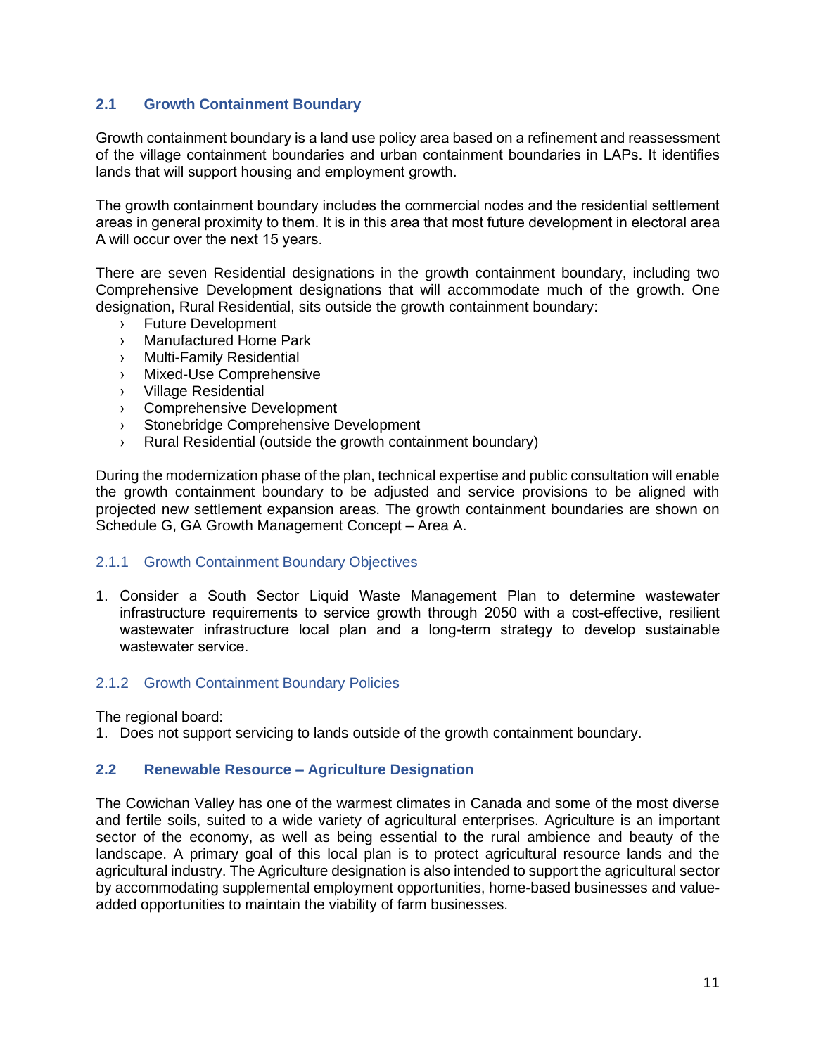## <span id="page-12-0"></span>**2.1 Growth Containment Boundary**

Growth containment boundary is a land use policy area based on a refinement and reassessment of the village containment boundaries and urban containment boundaries in LAPs. It identifies lands that will support housing and employment growth.

The growth containment boundary includes the commercial nodes and the residential settlement areas in general proximity to them. It is in this area that most future development in electoral area A will occur over the next 15 years.

There are seven Residential designations in the growth containment boundary, including two Comprehensive Development designations that will accommodate much of the growth. One designation, Rural Residential, sits outside the growth containment boundary:

- › Future Development
- › Manufactured Home Park
- › Multi-Family Residential
- › Mixed-Use Comprehensive
- › Village Residential
- › Comprehensive Development
- › Stonebridge Comprehensive Development
- › Rural Residential (outside the growth containment boundary)

During the modernization phase of the plan, technical expertise and public consultation will enable the growth containment boundary to be adjusted and service provisions to be aligned with projected new settlement expansion areas. The growth containment boundaries are shown on Schedule G, GA Growth Management Concept – Area A.

#### <span id="page-12-1"></span>2.1.1 Growth Containment Boundary Objectives

1. Consider a South Sector Liquid Waste Management Plan to determine wastewater infrastructure requirements to service growth through 2050 with a cost-effective, resilient wastewater infrastructure local plan and a long-term strategy to develop sustainable wastewater service.

#### <span id="page-12-2"></span>2.1.2 Growth Containment Boundary Policies

The regional board:

1. Does not support servicing to lands outside of the growth containment boundary.

#### <span id="page-12-3"></span>**2.2 Renewable Resource – Agriculture Designation**

The Cowichan Valley has one of the warmest climates in Canada and some of the most diverse and fertile soils, suited to a wide variety of agricultural enterprises. Agriculture is an important sector of the economy, as well as being essential to the rural ambience and beauty of the landscape. A primary goal of this local plan is to protect agricultural resource lands and the agricultural industry. The Agriculture designation is also intended to support the agricultural sector by accommodating supplemental employment opportunities, home-based businesses and valueadded opportunities to maintain the viability of farm businesses.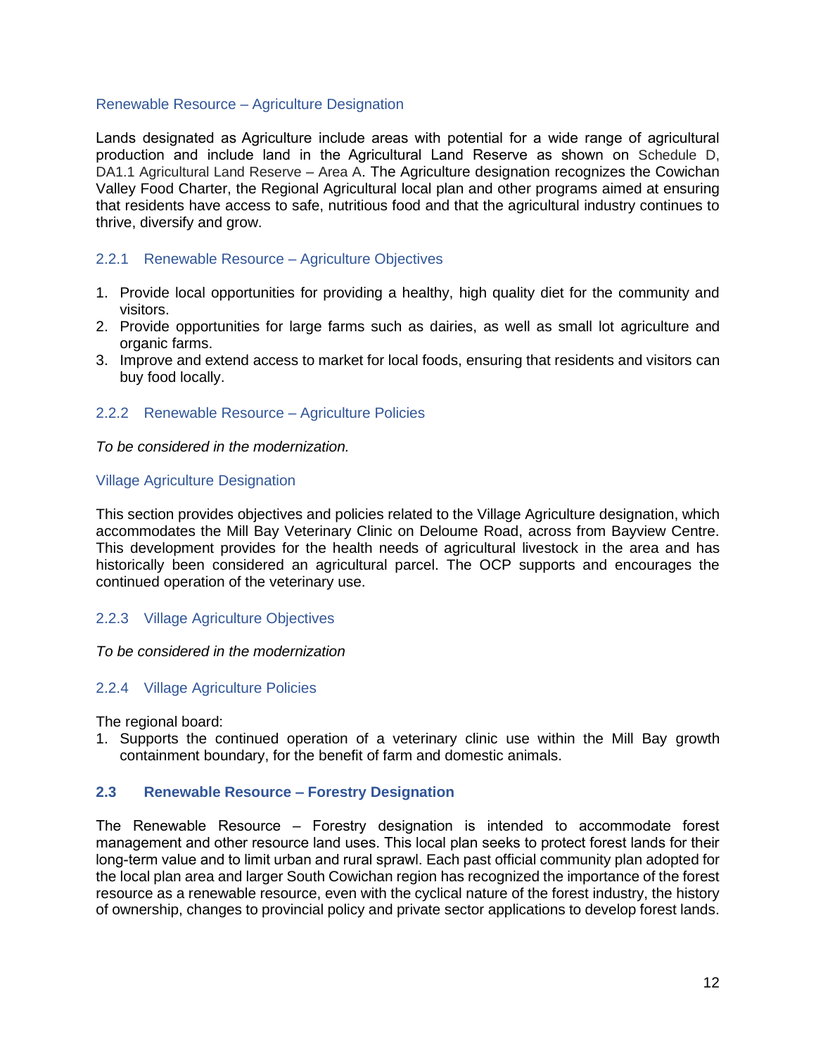#### Renewable Resource – Agriculture Designation

Lands designated as Agriculture include areas with potential for a wide range of agricultural production and include land in the Agricultural Land Reserve as shown on Schedule D, DA1.1 Agricultural Land Reserve – Area A. The Agriculture designation recognizes the Cowichan Valley Food Charter, the Regional Agricultural local plan and other programs aimed at ensuring that residents have access to safe, nutritious food and that the agricultural industry continues to thrive, diversify and grow.

#### <span id="page-13-0"></span>2.2.1 Renewable Resource – Agriculture Objectives

- 1. Provide local opportunities for providing a healthy, high quality diet for the community and visitors.
- 2. Provide opportunities for large farms such as dairies, as well as small lot agriculture and organic farms.
- 3. Improve and extend access to market for local foods, ensuring that residents and visitors can buy food locally.

#### <span id="page-13-1"></span>2.2.2 Renewable Resource – Agriculture Policies

*To be considered in the modernization.*

#### Village Agriculture Designation

This section provides objectives and policies related to the Village Agriculture designation, which accommodates the Mill Bay Veterinary Clinic on Deloume Road, across from Bayview Centre. This development provides for the health needs of agricultural livestock in the area and has historically been considered an agricultural parcel. The OCP supports and encourages the continued operation of the veterinary use.

#### <span id="page-13-2"></span>2.2.3 Village Agriculture Objectives

#### *To be considered in the modernization*

#### <span id="page-13-3"></span>2.2.4 Village Agriculture Policies

The regional board:

1. Supports the continued operation of a veterinary clinic use within the Mill Bay growth containment boundary, for the benefit of farm and domestic animals.

#### <span id="page-13-4"></span>**2.3 Renewable Resource – Forestry Designation**

The Renewable Resource – Forestry designation is intended to accommodate forest management and other resource land uses. This local plan seeks to protect forest lands for their long-term value and to limit urban and rural sprawl. Each past official community plan adopted for the local plan area and larger South Cowichan region has recognized the importance of the forest resource as a renewable resource, even with the cyclical nature of the forest industry, the history of ownership, changes to provincial policy and private sector applications to develop forest lands.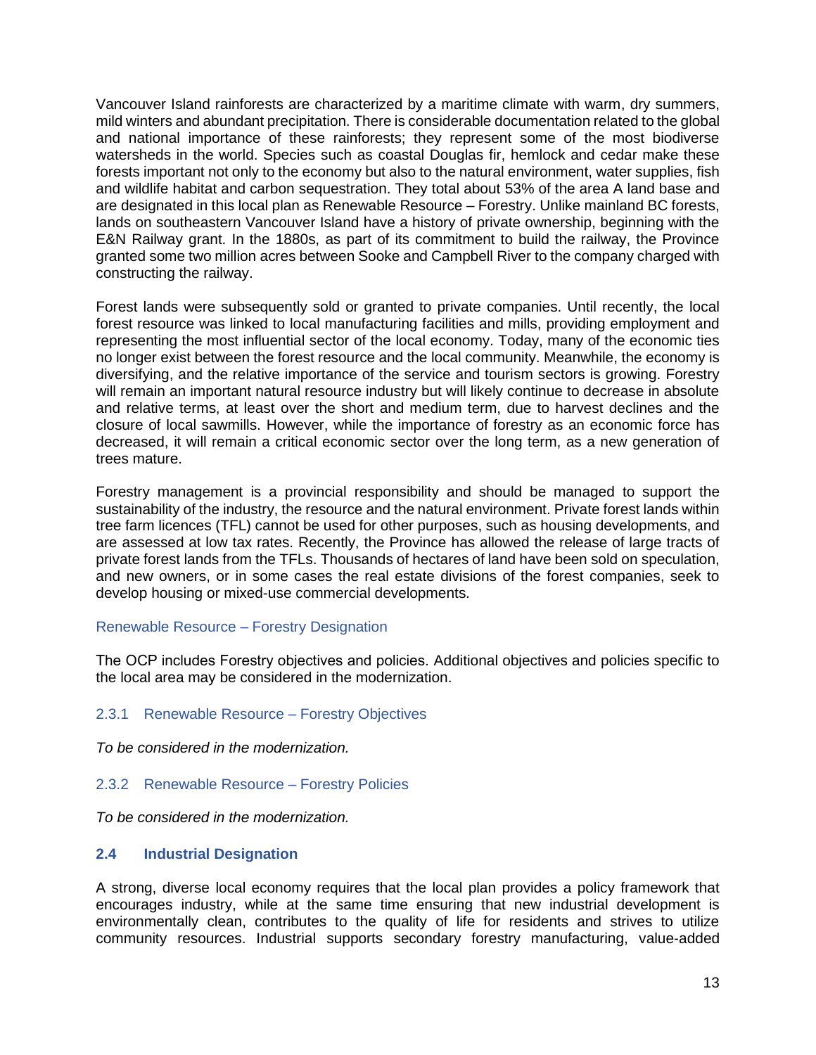Vancouver Island rainforests are characterized by a maritime climate with warm, dry summers, mild winters and abundant precipitation. There is considerable documentation related to the global and national importance of these rainforests; they represent some of the most biodiverse watersheds in the world. Species such as coastal Douglas fir, hemlock and cedar make these forests important not only to the economy but also to the natural environment, water supplies, fish and wildlife habitat and carbon sequestration. They total about 53% of the area A land base and are designated in this local plan as Renewable Resource – Forestry. Unlike mainland BC forests, lands on southeastern Vancouver Island have a history of private ownership, beginning with the E&N Railway grant. In the 1880s, as part of its commitment to build the railway, the Province granted some two million acres between Sooke and Campbell River to the company charged with constructing the railway.

Forest lands were subsequently sold or granted to private companies. Until recently, the local forest resource was linked to local manufacturing facilities and mills, providing employment and representing the most influential sector of the local economy. Today, many of the economic ties no longer exist between the forest resource and the local community. Meanwhile, the economy is diversifying, and the relative importance of the service and tourism sectors is growing. Forestry will remain an important natural resource industry but will likely continue to decrease in absolute and relative terms, at least over the short and medium term, due to harvest declines and the closure of local sawmills. However, while the importance of forestry as an economic force has decreased, it will remain a critical economic sector over the long term, as a new generation of trees mature.

Forestry management is a provincial responsibility and should be managed to support the sustainability of the industry, the resource and the natural environment. Private forest lands within tree farm licences (TFL) cannot be used for other purposes, such as housing developments, and are assessed at low tax rates. Recently, the Province has allowed the release of large tracts of private forest lands from the TFLs. Thousands of hectares of land have been sold on speculation, and new owners, or in some cases the real estate divisions of the forest companies, seek to develop housing or mixed-use commercial developments.

#### Renewable Resource – Forestry Designation

The OCP includes Forestry objectives and policies. Additional objectives and policies specific to the local area may be considered in the modernization.

## <span id="page-14-0"></span>2.3.1 Renewable Resource – Forestry Objectives

*To be considered in the modernization.*

## <span id="page-14-1"></span>2.3.2 Renewable Resource – Forestry Policies

*To be considered in the modernization.*

#### <span id="page-14-2"></span>**2.4 Industrial Designation**

A strong, diverse local economy requires that the local plan provides a policy framework that encourages industry, while at the same time ensuring that new industrial development is environmentally clean, contributes to the quality of life for residents and strives to utilize community resources. Industrial supports secondary forestry manufacturing, value-added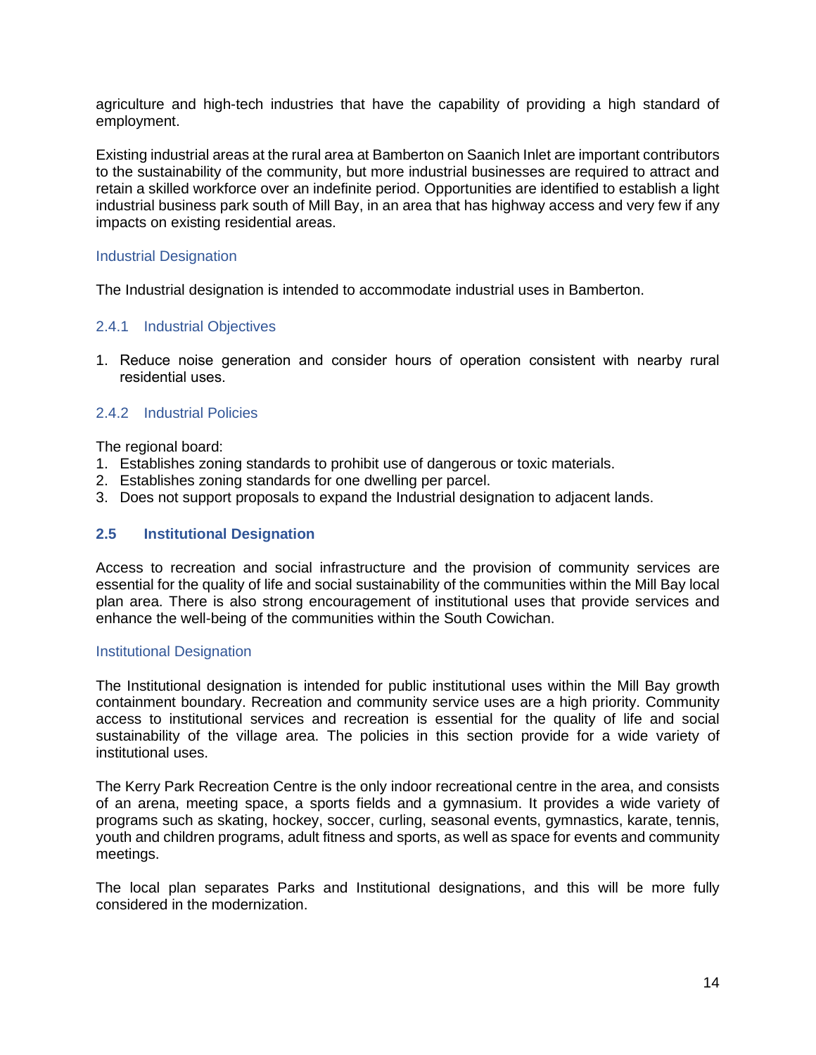agriculture and high-tech industries that have the capability of providing a high standard of employment.

Existing industrial areas at the rural area at Bamberton on Saanich Inlet are important contributors to the sustainability of the community, but more industrial businesses are required to attract and retain a skilled workforce over an indefinite period. Opportunities are identified to establish a light industrial business park south of Mill Bay, in an area that has highway access and very few if any impacts on existing residential areas.

## Industrial Designation

The Industrial designation is intended to accommodate industrial uses in Bamberton.

## <span id="page-15-0"></span>2.4.1 Industrial Objectives

1. Reduce noise generation and consider hours of operation consistent with nearby rural residential uses.

## <span id="page-15-1"></span>2.4.2 Industrial Policies

The regional board:

- 1. Establishes zoning standards to prohibit use of dangerous or toxic materials.
- 2. Establishes zoning standards for one dwelling per parcel.
- 3. Does not support proposals to expand the Industrial designation to adjacent lands.

#### <span id="page-15-2"></span>**2.5 Institutional Designation**

Access to recreation and social infrastructure and the provision of community services are essential for the quality of life and social sustainability of the communities within the Mill Bay local plan area. There is also strong encouragement of institutional uses that provide services and enhance the well-being of the communities within the South Cowichan.

#### Institutional Designation

The Institutional designation is intended for public institutional uses within the Mill Bay growth containment boundary. Recreation and community service uses are a high priority. Community access to institutional services and recreation is essential for the quality of life and social sustainability of the village area. The policies in this section provide for a wide variety of institutional uses.

The Kerry Park Recreation Centre is the only indoor recreational centre in the area, and consists of an arena, meeting space, a sports fields and a gymnasium. It provides a wide variety of programs such as skating, hockey, soccer, curling, seasonal events, gymnastics, karate, tennis, youth and children programs, adult fitness and sports, as well as space for events and community meetings.

The local plan separates Parks and Institutional designations, and this will be more fully considered in the modernization.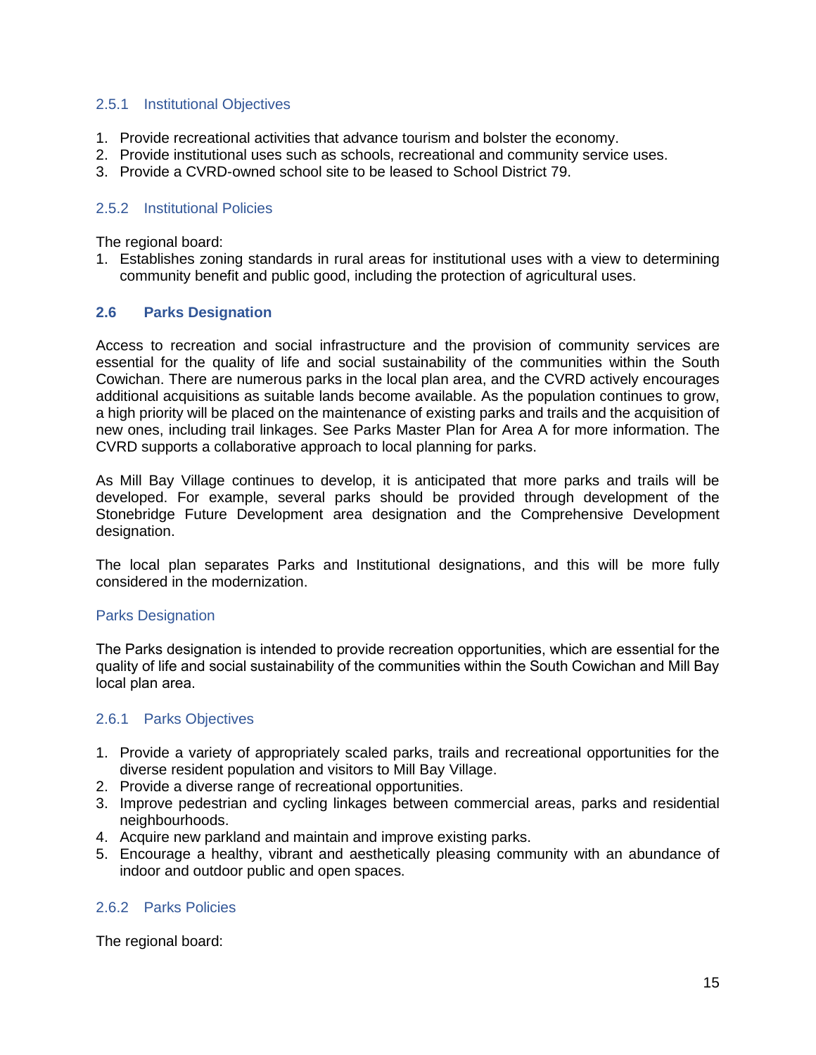#### <span id="page-16-0"></span>2.5.1 Institutional Objectives

- 1. Provide recreational activities that advance tourism and bolster the economy.
- 2. Provide institutional uses such as schools, recreational and community service uses.
- 3. Provide a CVRD-owned school site to be leased to School District 79.

## <span id="page-16-1"></span>2.5.2 Institutional Policies

The regional board:

1. Establishes zoning standards in rural areas for institutional uses with a view to determining community benefit and public good, including the protection of agricultural uses.

#### <span id="page-16-2"></span>**2.6 Parks Designation**

Access to recreation and social infrastructure and the provision of community services are essential for the quality of life and social sustainability of the communities within the South Cowichan. There are numerous parks in the local plan area, and the CVRD actively encourages additional acquisitions as suitable lands become available. As the population continues to grow, a high priority will be placed on the maintenance of existing parks and trails and the acquisition of new ones, including trail linkages. See Parks Master Plan for Area A for more information. The CVRD supports a collaborative approach to local planning for parks.

As Mill Bay Village continues to develop, it is anticipated that more parks and trails will be developed. For example, several parks should be provided through development of the Stonebridge Future Development area designation and the Comprehensive Development designation.

The local plan separates Parks and Institutional designations, and this will be more fully considered in the modernization.

#### Parks Designation

The Parks designation is intended to provide recreation opportunities, which are essential for the quality of life and social sustainability of the communities within the South Cowichan and Mill Bay local plan area.

## <span id="page-16-3"></span>2.6.1 Parks Objectives

- 1. Provide a variety of appropriately scaled parks, trails and recreational opportunities for the diverse resident population and visitors to Mill Bay Village.
- 2. Provide a diverse range of recreational opportunities.
- 3. Improve pedestrian and cycling linkages between commercial areas, parks and residential neighbourhoods.
- 4. Acquire new parkland and maintain and improve existing parks.
- 5. Encourage a healthy, vibrant and aesthetically pleasing community with an abundance of indoor and outdoor public and open spaces.

## <span id="page-16-4"></span>2.6.2 Parks Policies

The regional board: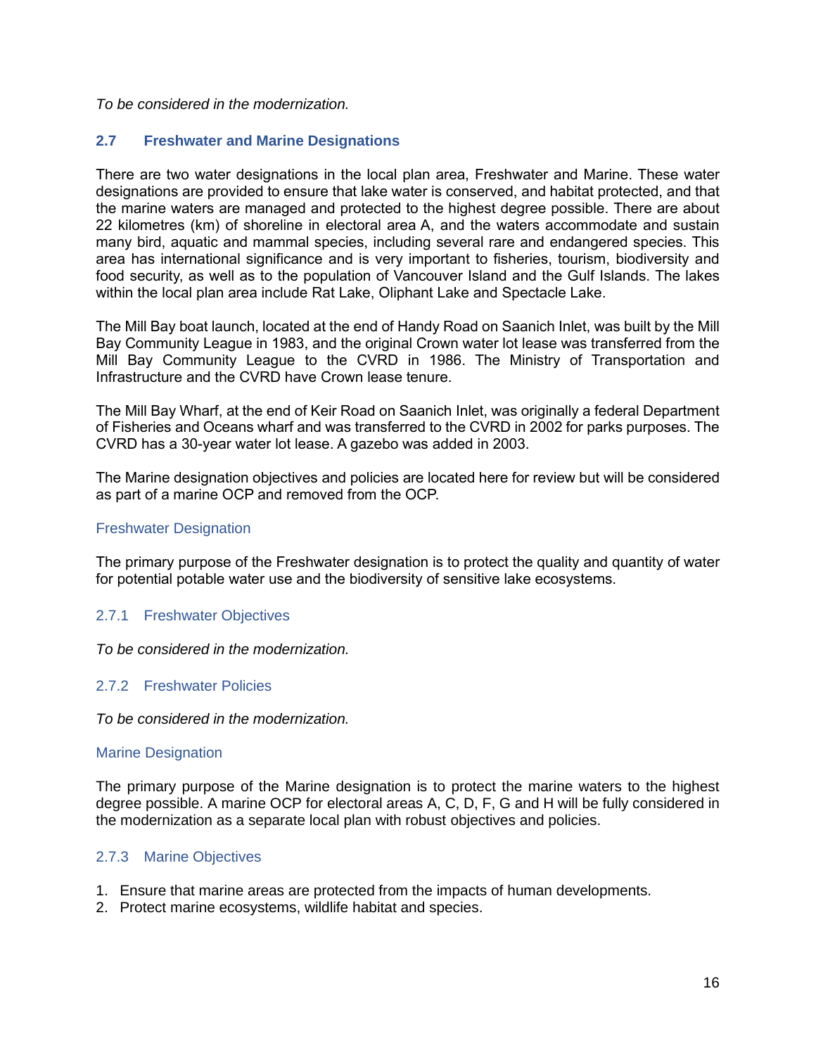#### *To be considered in the modernization.*

## <span id="page-17-0"></span>**2.7 Freshwater and Marine Designations**

There are two water designations in the local plan area, Freshwater and Marine. These water designations are provided to ensure that lake water is conserved, and habitat protected, and that the marine waters are managed and protected to the highest degree possible. There are about 22 kilometres (km) of shoreline in electoral area A, and the waters accommodate and sustain many bird, aquatic and mammal species, including several rare and endangered species. This area has international significance and is very important to fisheries, tourism, biodiversity and food security, as well as to the population of Vancouver Island and the Gulf Islands. The lakes within the local plan area include Rat Lake, Oliphant Lake and Spectacle Lake.

The Mill Bay boat launch, located at the end of Handy Road on Saanich Inlet, was built by the Mill Bay Community League in 1983, and the original Crown water lot lease was transferred from the Mill Bay Community League to the CVRD in 1986. The Ministry of Transportation and Infrastructure and the CVRD have Crown lease tenure.

The Mill Bay Wharf, at the end of Keir Road on Saanich Inlet, was originally a federal Department of Fisheries and Oceans wharf and was transferred to the CVRD in 2002 for parks purposes. The CVRD has a 30-year water lot lease. A gazebo was added in 2003.

The Marine designation objectives and policies are located here for review but will be considered as part of a marine OCP and removed from the OCP.

#### Freshwater Designation

The primary purpose of the Freshwater designation is to protect the quality and quantity of water for potential potable water use and the biodiversity of sensitive lake ecosystems.

#### <span id="page-17-1"></span>2.7.1 Freshwater Objectives

*To be considered in the modernization.*

## <span id="page-17-2"></span>2.7.2 Freshwater Policies

*To be considered in the modernization.*

#### Marine Designation

The primary purpose of the Marine designation is to protect the marine waters to the highest degree possible. A marine OCP for electoral areas A, C, D, F, G and H will be fully considered in the modernization as a separate local plan with robust objectives and policies.

#### <span id="page-17-3"></span>2.7.3 Marine Objectives

- 1. Ensure that marine areas are protected from the impacts of human developments.
- 2. Protect marine ecosystems, wildlife habitat and species.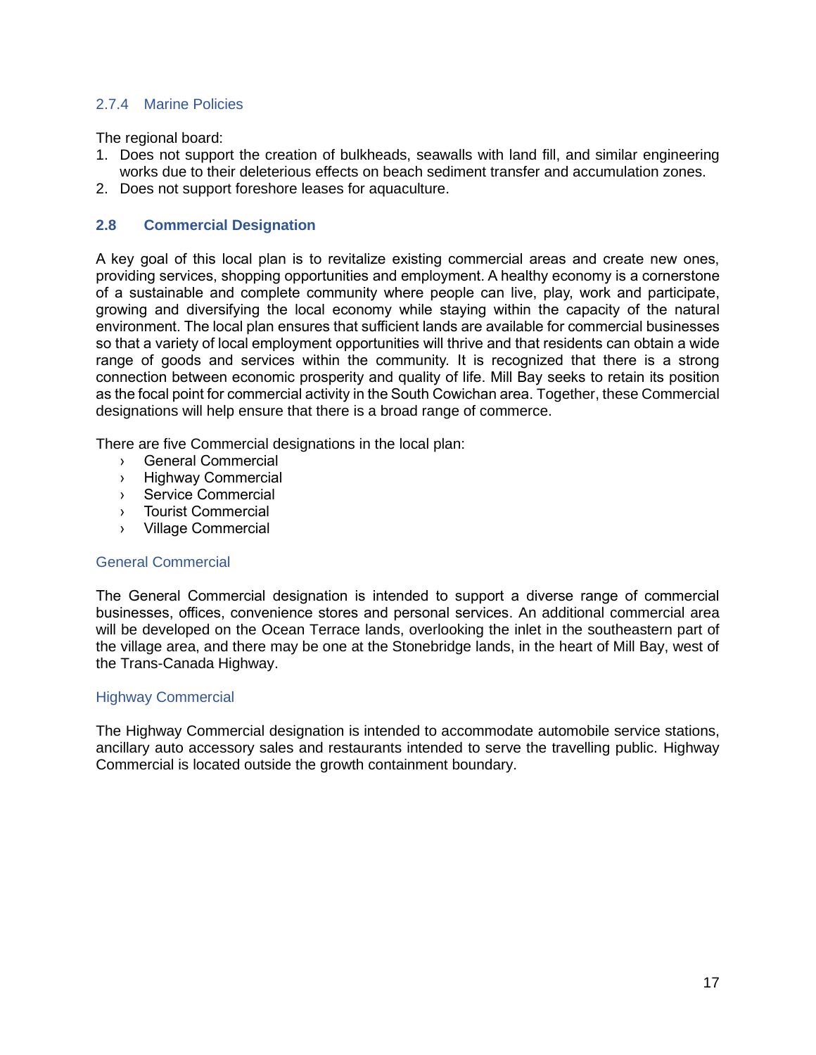## <span id="page-18-0"></span>2.7.4 Marine Policies

The regional board:

- 1. Does not support the creation of bulkheads, seawalls with land fill, and similar engineering works due to their deleterious effects on beach sediment transfer and accumulation zones.
- 2. Does not support foreshore leases for aquaculture.

## <span id="page-18-1"></span>**2.8 Commercial Designation**

A key goal of this local plan is to revitalize existing commercial areas and create new ones, providing services, shopping opportunities and employment. A healthy economy is a cornerstone of a sustainable and complete community where people can live, play, work and participate, growing and diversifying the local economy while staying within the capacity of the natural environment. The local plan ensures that sufficient lands are available for commercial businesses so that a variety of local employment opportunities will thrive and that residents can obtain a wide range of goods and services within the community. It is recognized that there is a strong connection between economic prosperity and quality of life. Mill Bay seeks to retain its position as the focal point for commercial activity in the South Cowichan area. Together, these Commercial designations will help ensure that there is a broad range of commerce.

There are five Commercial designations in the local plan:

- › General Commercial
- › Highway Commercial
- › Service Commercial
- › Tourist Commercial
- › Village Commercial

#### General Commercial

The General Commercial designation is intended to support a diverse range of commercial businesses, offices, convenience stores and personal services. An additional commercial area will be developed on the Ocean Terrace lands, overlooking the inlet in the southeastern part of the village area, and there may be one at the Stonebridge lands, in the heart of Mill Bay, west of the Trans-Canada Highway.

## Highway Commercial

The Highway Commercial designation is intended to accommodate automobile service stations, ancillary auto accessory sales and restaurants intended to serve the travelling public. Highway Commercial is located outside the growth containment boundary.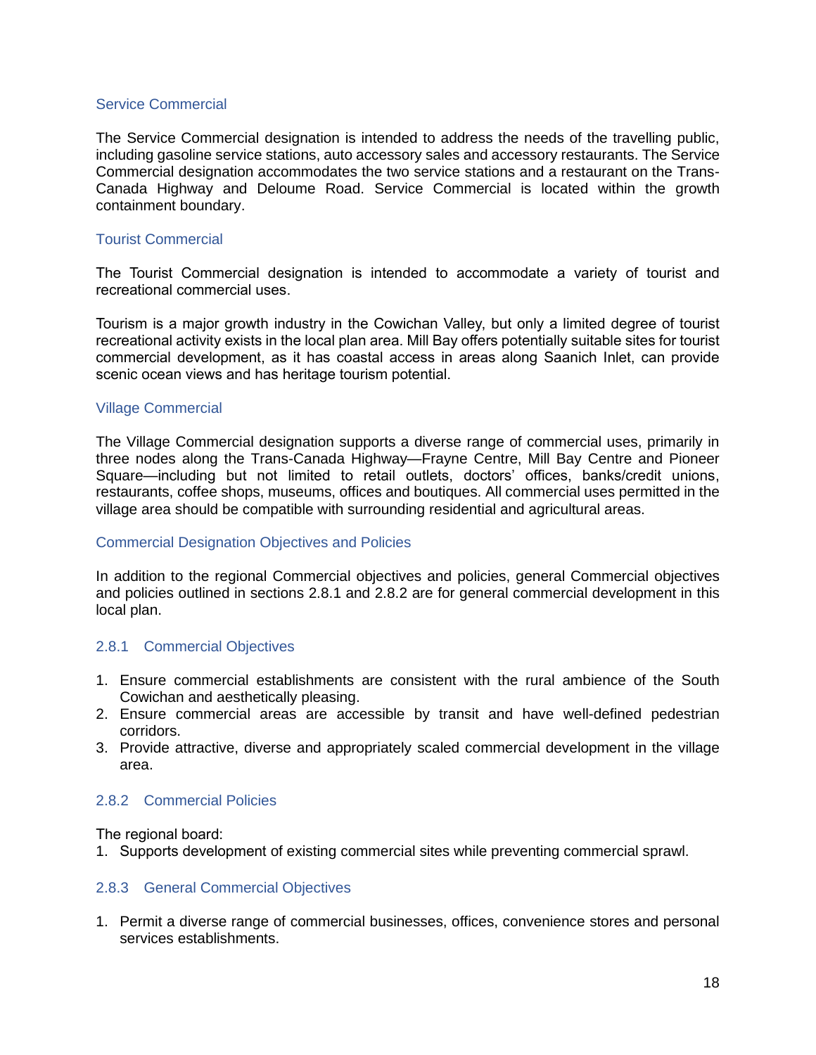#### Service Commercial

The Service Commercial designation is intended to address the needs of the travelling public, including gasoline service stations, auto accessory sales and accessory restaurants. The Service Commercial designation accommodates the two service stations and a restaurant on the Trans-Canada Highway and Deloume Road. Service Commercial is located within the growth containment boundary.

#### Tourist Commercial

The Tourist Commercial designation is intended to accommodate a variety of tourist and recreational commercial uses.

Tourism is a major growth industry in the Cowichan Valley, but only a limited degree of tourist recreational activity exists in the local plan area. Mill Bay offers potentially suitable sites for tourist commercial development, as it has coastal access in areas along Saanich Inlet, can provide scenic ocean views and has heritage tourism potential.

#### Village Commercial

The Village Commercial designation supports a diverse range of commercial uses, primarily in three nodes along the Trans-Canada Highway—Frayne Centre, Mill Bay Centre and Pioneer Square—including but not limited to retail outlets, doctors' offices, banks/credit unions, restaurants, coffee shops, museums, offices and boutiques. All commercial uses permitted in the village area should be compatible with surrounding residential and agricultural areas.

## Commercial Designation Objectives and Policies

In addition to the regional Commercial objectives and policies, general Commercial objectives and policies outlined in sections 2.8.1 and 2.8.2 are for general commercial development in this local plan.

#### <span id="page-19-0"></span>2.8.1 Commercial Objectives

- 1. Ensure commercial establishments are consistent with the rural ambience of the South Cowichan and aesthetically pleasing.
- 2. Ensure commercial areas are accessible by transit and have well-defined pedestrian corridors.
- 3. Provide attractive, diverse and appropriately scaled commercial development in the village area.

## <span id="page-19-1"></span>2.8.2 Commercial Policies

The regional board:

1. Supports development of existing commercial sites while preventing commercial sprawl.

#### <span id="page-19-2"></span>2.8.3 General Commercial Objectives

1. Permit a diverse range of commercial businesses, offices, convenience stores and personal services establishments.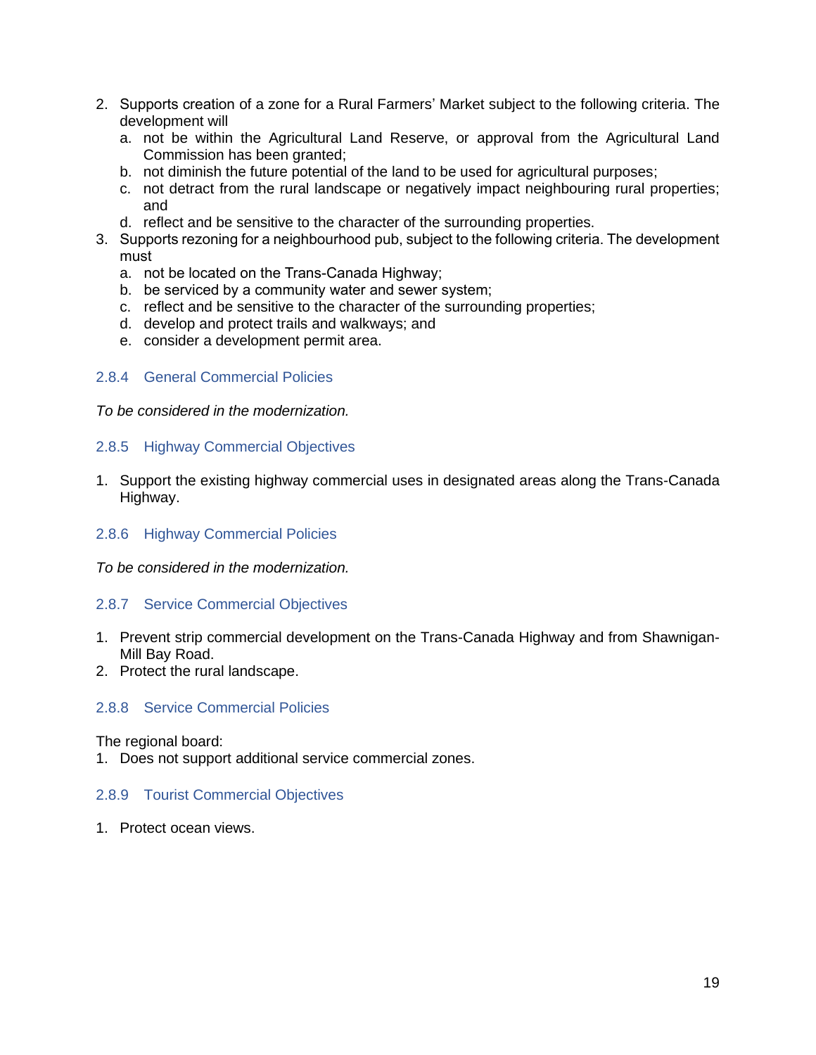- 2. Supports creation of a zone for a Rural Farmers' Market subject to the following criteria. The development will
	- a. not be within the Agricultural Land Reserve, or approval from the Agricultural Land Commission has been granted;
	- b. not diminish the future potential of the land to be used for agricultural purposes;
	- c. not detract from the rural landscape or negatively impact neighbouring rural properties; and
	- d. reflect and be sensitive to the character of the surrounding properties.
- 3. Supports rezoning for a neighbourhood pub, subject to the following criteria. The development must
	- a. not be located on the Trans-Canada Highway;
	- b. be serviced by a community water and sewer system;
	- c. reflect and be sensitive to the character of the surrounding properties;
	- d. develop and protect trails and walkways; and
	- e. consider a development permit area.

#### <span id="page-20-0"></span>2.8.4 General Commercial Policies

*To be considered in the modernization.*

#### <span id="page-20-1"></span>2.8.5 Highway Commercial Objectives

1. Support the existing highway commercial uses in designated areas along the Trans-Canada Highway.

#### <span id="page-20-2"></span>2.8.6 Highway Commercial Policies

*To be considered in the modernization.*

#### <span id="page-20-3"></span>2.8.7 Service Commercial Objectives

- 1. Prevent strip commercial development on the Trans-Canada Highway and from Shawnigan-Mill Bay Road.
- 2. Protect the rural landscape.

#### <span id="page-20-4"></span>2.8.8 Service Commercial Policies

The regional board:

1. Does not support additional service commercial zones.

#### <span id="page-20-5"></span>2.8.9 Tourist Commercial Objectives

1. Protect ocean views.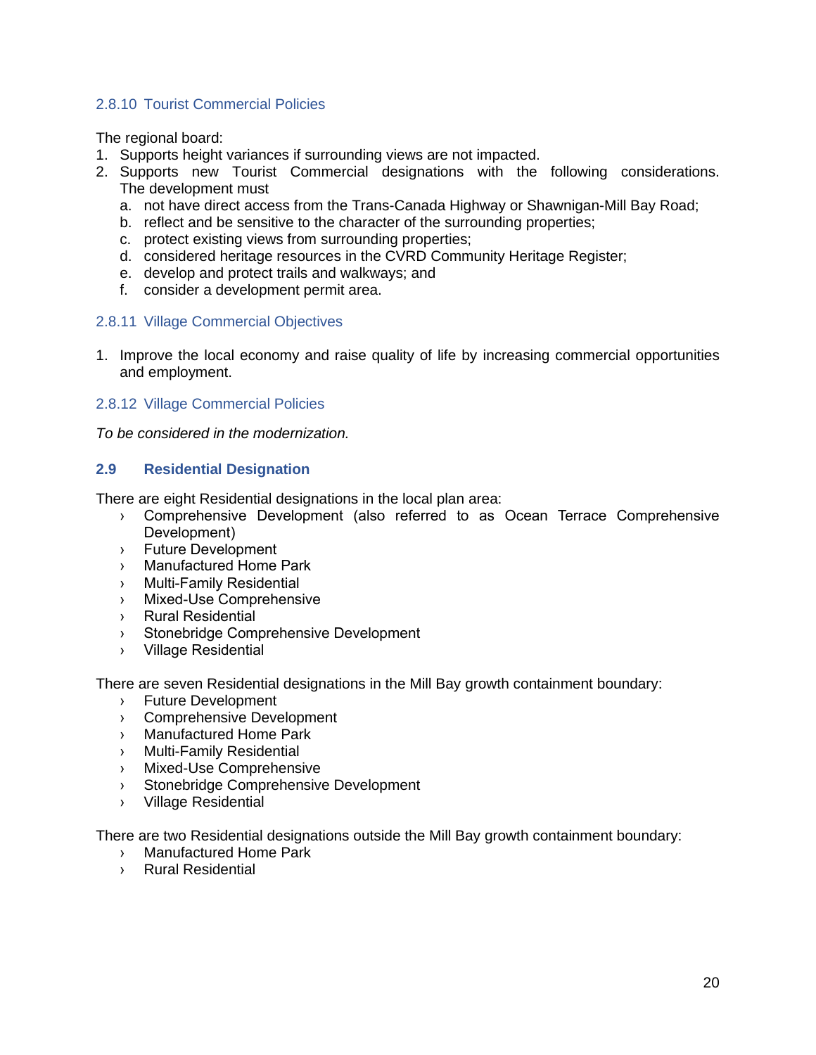## <span id="page-21-0"></span>2.8.10 Tourist Commercial Policies

The regional board:

- 1. Supports height variances if surrounding views are not impacted.
- 2. Supports new Tourist Commercial designations with the following considerations. The development must
	- a. not have direct access from the Trans-Canada Highway or Shawnigan-Mill Bay Road;
	- b. reflect and be sensitive to the character of the surrounding properties;
	- c. protect existing views from surrounding properties;
	- d. considered heritage resources in the CVRD Community Heritage Register;
	- e. develop and protect trails and walkways; and
	- f. consider a development permit area.

## <span id="page-21-1"></span>2.8.11 Village Commercial Objectives

1. Improve the local economy and raise quality of life by increasing commercial opportunities and employment.

#### <span id="page-21-2"></span>2.8.12 Village Commercial Policies

*To be considered in the modernization.*

## <span id="page-21-3"></span>**2.9 Residential Designation**

There are eight Residential designations in the local plan area:

- › Comprehensive Development (also referred to as Ocean Terrace Comprehensive Development)
- › Future Development
- › Manufactured Home Park
- › Multi-Family Residential
- › Mixed-Use Comprehensive
- › Rural Residential
- › Stonebridge Comprehensive Development
- › Village Residential

There are seven Residential designations in the Mill Bay growth containment boundary:

- › Future Development
- › Comprehensive Development
- › Manufactured Home Park
- › Multi-Family Residential
- › Mixed-Use Comprehensive
- › Stonebridge Comprehensive Development
- › Village Residential

There are two Residential designations outside the Mill Bay growth containment boundary:

- › Manufactured Home Park
- › Rural Residential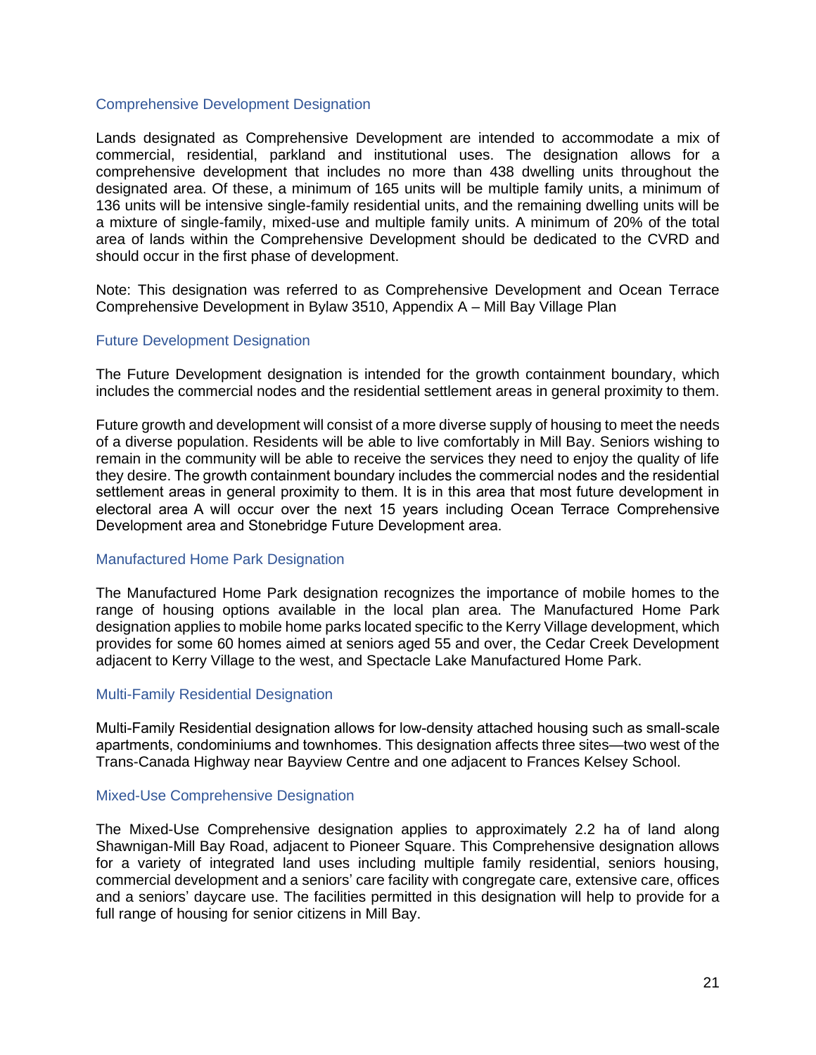#### Comprehensive Development Designation

Lands designated as Comprehensive Development are intended to accommodate a mix of commercial, residential, parkland and institutional uses. The designation allows for a comprehensive development that includes no more than 438 dwelling units throughout the designated area. Of these, a minimum of 165 units will be multiple family units, a minimum of 136 units will be intensive single-family residential units, and the remaining dwelling units will be a mixture of single-family, mixed-use and multiple family units. A minimum of 20% of the total area of lands within the Comprehensive Development should be dedicated to the CVRD and should occur in the first phase of development.

Note: This designation was referred to as Comprehensive Development and Ocean Terrace Comprehensive Development in Bylaw 3510, Appendix A – Mill Bay Village Plan

#### Future Development Designation

The Future Development designation is intended for the growth containment boundary, which includes the commercial nodes and the residential settlement areas in general proximity to them.

Future growth and development will consist of a more diverse supply of housing to meet the needs of a diverse population. Residents will be able to live comfortably in Mill Bay. Seniors wishing to remain in the community will be able to receive the services they need to enjoy the quality of life they desire. The growth containment boundary includes the commercial nodes and the residential settlement areas in general proximity to them. It is in this area that most future development in electoral area A will occur over the next 15 years including Ocean Terrace Comprehensive Development area and Stonebridge Future Development area.

#### Manufactured Home Park Designation

The Manufactured Home Park designation recognizes the importance of mobile homes to the range of housing options available in the local plan area. The Manufactured Home Park designation applies to mobile home parks located specific to the Kerry Village development, which provides for some 60 homes aimed at seniors aged 55 and over, the Cedar Creek Development adjacent to Kerry Village to the west, and Spectacle Lake Manufactured Home Park.

#### Multi-Family Residential Designation

Multi-Family Residential designation allows for low-density attached housing such as small-scale apartments, condominiums and townhomes. This designation affects three sites—two west of the Trans-Canada Highway near Bayview Centre and one adjacent to Frances Kelsey School.

#### Mixed-Use Comprehensive Designation

The Mixed-Use Comprehensive designation applies to approximately 2.2 ha of land along Shawnigan-Mill Bay Road, adjacent to Pioneer Square. This Comprehensive designation allows for a variety of integrated land uses including multiple family residential, seniors housing, commercial development and a seniors' care facility with congregate care, extensive care, offices and a seniors' daycare use. The facilities permitted in this designation will help to provide for a full range of housing for senior citizens in Mill Bay.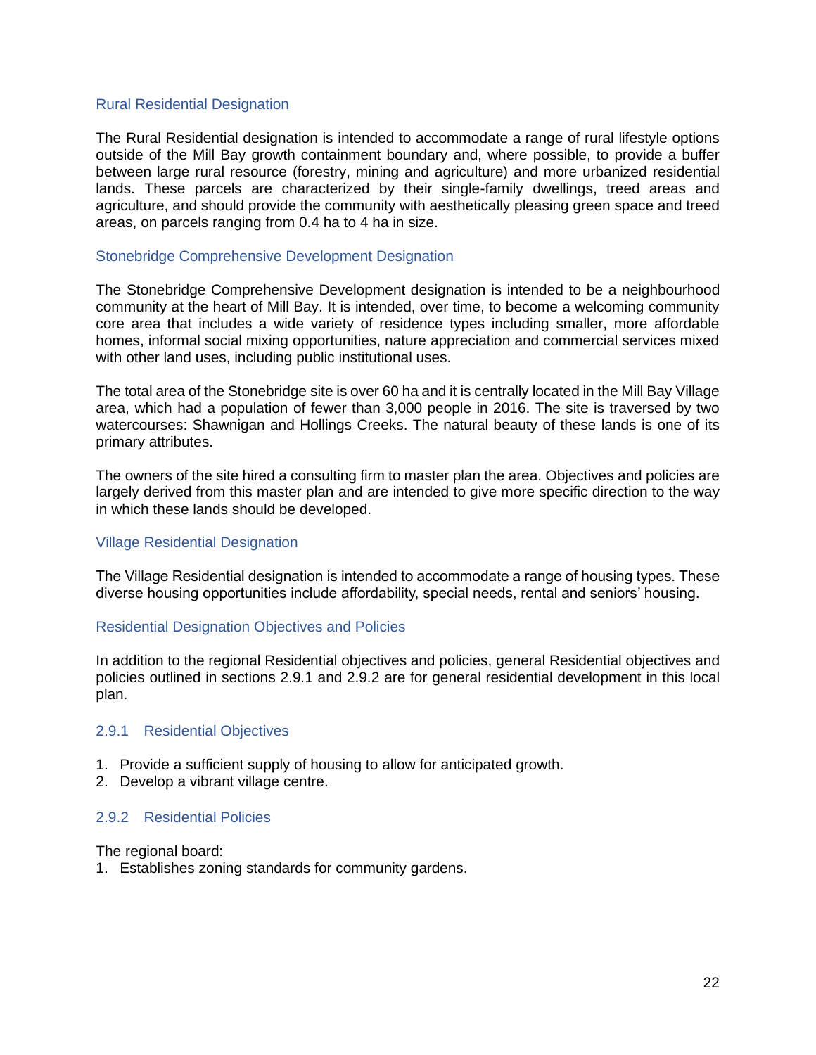#### Rural Residential Designation

The Rural Residential designation is intended to accommodate a range of rural lifestyle options outside of the Mill Bay growth containment boundary and, where possible, to provide a buffer between large rural resource (forestry, mining and agriculture) and more urbanized residential lands. These parcels are characterized by their single-family dwellings, treed areas and agriculture, and should provide the community with aesthetically pleasing green space and treed areas, on parcels ranging from 0.4 ha to 4 ha in size.

#### Stonebridge Comprehensive Development Designation

The Stonebridge Comprehensive Development designation is intended to be a neighbourhood community at the heart of Mill Bay. It is intended, over time, to become a welcoming community core area that includes a wide variety of residence types including smaller, more affordable homes, informal social mixing opportunities, nature appreciation and commercial services mixed with other land uses, including public institutional uses.

The total area of the Stonebridge site is over 60 ha and it is centrally located in the Mill Bay Village area, which had a population of fewer than 3,000 people in 2016. The site is traversed by two watercourses: Shawnigan and Hollings Creeks. The natural beauty of these lands is one of its primary attributes.

The owners of the site hired a consulting firm to master plan the area. Objectives and policies are largely derived from this master plan and are intended to give more specific direction to the way in which these lands should be developed.

#### Village Residential Designation

The Village Residential designation is intended to accommodate a range of housing types. These diverse housing opportunities include affordability, special needs, rental and seniors' housing.

#### Residential Designation Objectives and Policies

In addition to the regional Residential objectives and policies, general Residential objectives and policies outlined in sections 2.9.1 and 2.9.2 are for general residential development in this local plan.

#### <span id="page-23-0"></span>2.9.1 Residential Objectives

- 1. Provide a sufficient supply of housing to allow for anticipated growth.
- 2. Develop a vibrant village centre.

#### <span id="page-23-1"></span>2.9.2 Residential Policies

The regional board:

1. Establishes zoning standards for community gardens.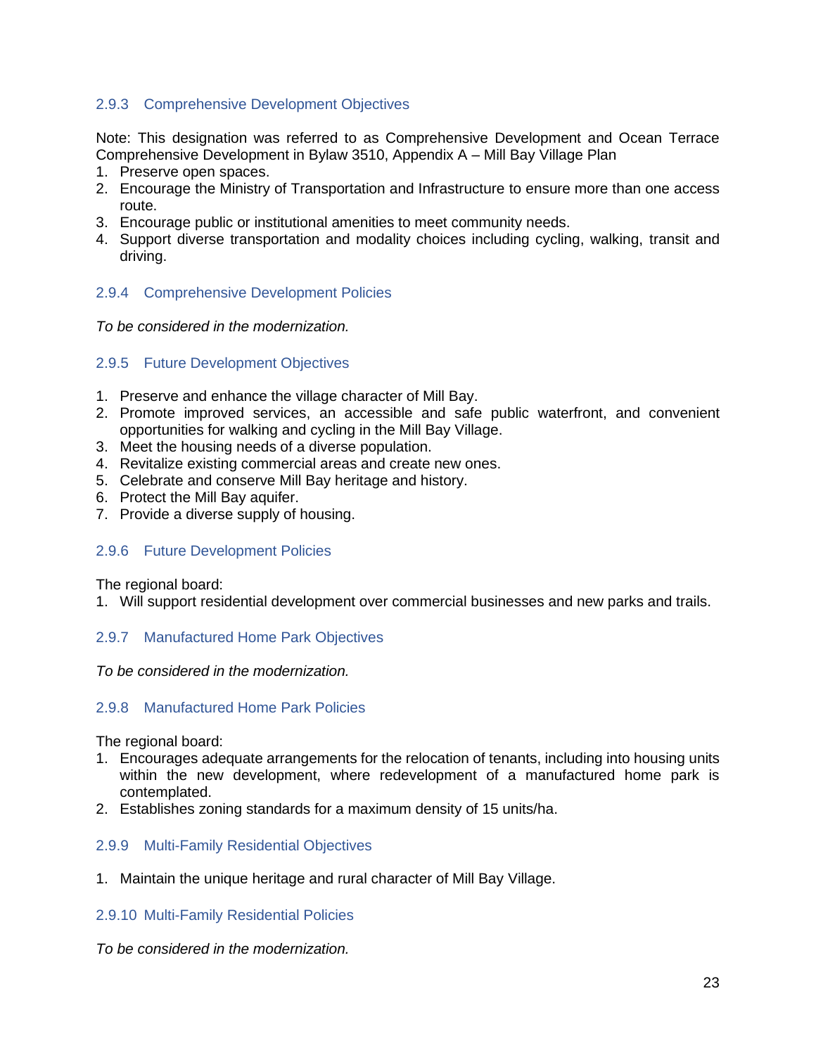## <span id="page-24-0"></span>2.9.3 Comprehensive Development Objectives

Note: This designation was referred to as Comprehensive Development and Ocean Terrace Comprehensive Development in Bylaw 3510, Appendix A – Mill Bay Village Plan

- 1. Preserve open spaces.
- 2. Encourage the Ministry of Transportation and Infrastructure to ensure more than one access route.
- 3. Encourage public or institutional amenities to meet community needs.
- 4. Support diverse transportation and modality choices including cycling, walking, transit and driving.

#### <span id="page-24-1"></span>2.9.4 Comprehensive Development Policies

*To be considered in the modernization.*

#### <span id="page-24-2"></span>2.9.5 Future Development Objectives

- 1. Preserve and enhance the village character of Mill Bay.
- 2. Promote improved services, an accessible and safe public waterfront, and convenient opportunities for walking and cycling in the Mill Bay Village.
- 3. Meet the housing needs of a diverse population.
- 4. Revitalize existing commercial areas and create new ones.
- 5. Celebrate and conserve Mill Bay heritage and history.
- 6. Protect the Mill Bay aquifer.
- 7. Provide a diverse supply of housing.

#### <span id="page-24-3"></span>2.9.6 Future Development Policies

The regional board:

1. Will support residential development over commercial businesses and new parks and trails.

#### <span id="page-24-4"></span>2.9.7 Manufactured Home Park Objectives

*To be considered in the modernization.*

#### <span id="page-24-5"></span>2.9.8 Manufactured Home Park Policies

The regional board:

- 1. Encourages adequate arrangements for the relocation of tenants, including into housing units within the new development, where redevelopment of a manufactured home park is contemplated.
- 2. Establishes zoning standards for a maximum density of 15 units/ha.

#### <span id="page-24-6"></span>2.9.9 Multi-Family Residential Objectives

1. Maintain the unique heritage and rural character of Mill Bay Village.

#### <span id="page-24-7"></span>2.9.10 Multi-Family Residential Policies

*To be considered in the modernization.*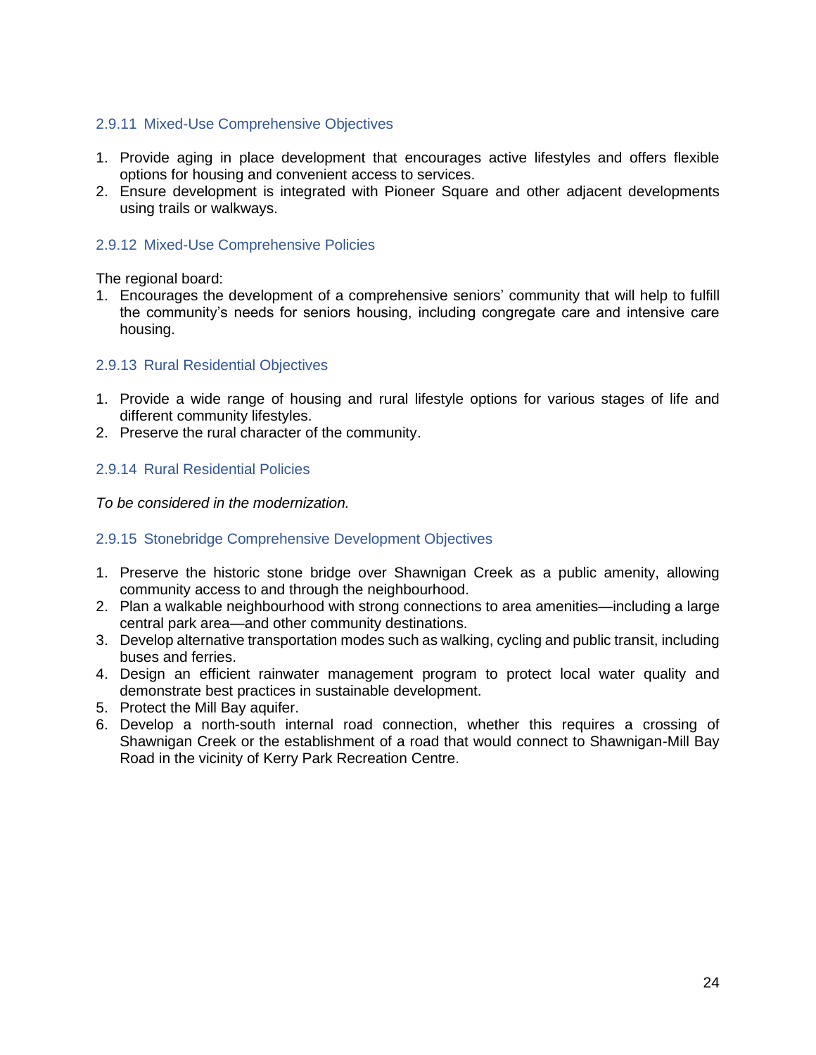## <span id="page-25-0"></span>2.9.11 Mixed-Use Comprehensive Objectives

- 1. Provide aging in place development that encourages active lifestyles and offers flexible options for housing and convenient access to services.
- 2. Ensure development is integrated with Pioneer Square and other adjacent developments using trails or walkways.

## <span id="page-25-1"></span>2.9.12 Mixed-Use Comprehensive Policies

The regional board:

1. Encourages the development of a comprehensive seniors' community that will help to fulfill the community's needs for seniors housing, including congregate care and intensive care housing.

## <span id="page-25-2"></span>2.9.13 Rural Residential Objectives

- 1. Provide a wide range of housing and rural lifestyle options for various stages of life and different community lifestyles.
- 2. Preserve the rural character of the community.

## <span id="page-25-3"></span>2.9.14 Rural Residential Policies

*To be considered in the modernization.*

## <span id="page-25-4"></span>2.9.15 Stonebridge Comprehensive Development Objectives

- 1. Preserve the historic stone bridge over Shawnigan Creek as a public amenity, allowing community access to and through the neighbourhood.
- 2. Plan a walkable neighbourhood with strong connections to area amenities—including a large central park area—and other community destinations.
- 3. Develop alternative transportation modes such as walking, cycling and public transit, including buses and ferries.
- 4. Design an efficient rainwater management program to protect local water quality and demonstrate best practices in sustainable development.
- 5. Protect the Mill Bay aquifer.
- 6. Develop a north-south internal road connection, whether this requires a crossing of Shawnigan Creek or the establishment of a road that would connect to Shawnigan-Mill Bay Road in the vicinity of Kerry Park Recreation Centre.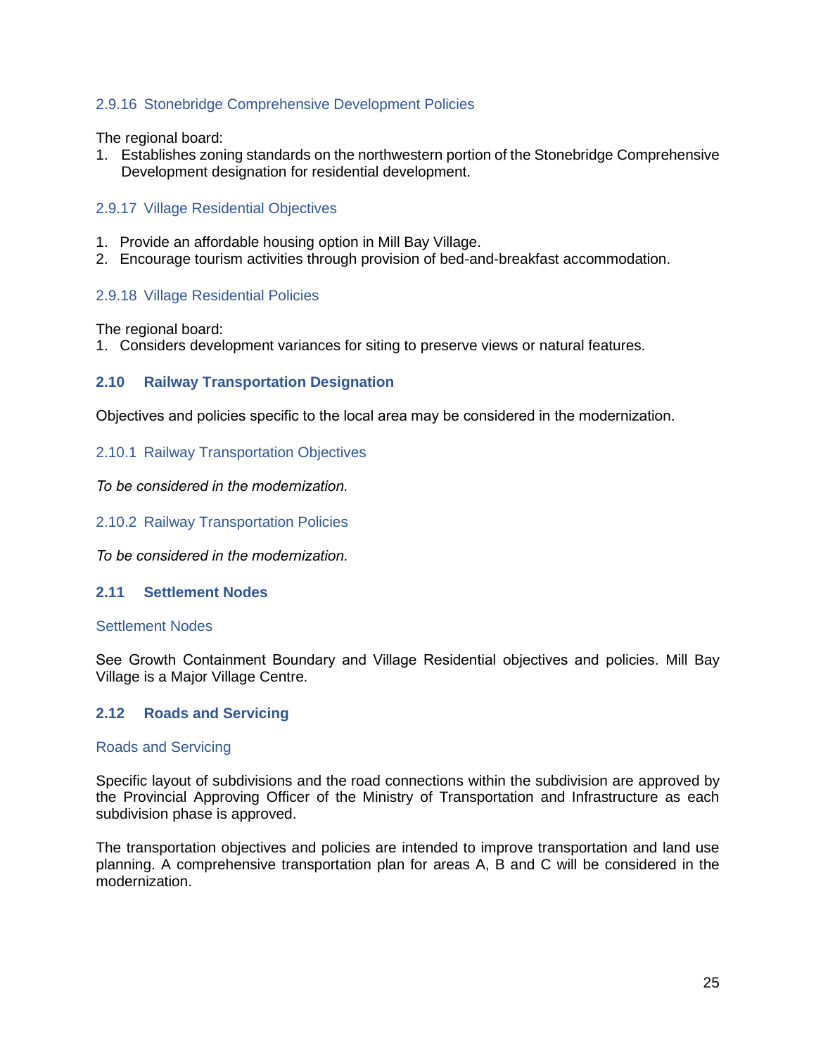## <span id="page-26-0"></span>2.9.16 Stonebridge Comprehensive Development Policies

The regional board:

1. Establishes zoning standards on the northwestern portion of the Stonebridge Comprehensive Development designation for residential development.

#### <span id="page-26-1"></span>2.9.17 Village Residential Objectives

- 1. Provide an affordable housing option in Mill Bay Village.
- 2. Encourage tourism activities through provision of bed-and-breakfast accommodation.

#### <span id="page-26-2"></span>2.9.18 Village Residential Policies

The regional board:

1. Considers development variances for siting to preserve views or natural features.

#### <span id="page-26-3"></span>**2.10 Railway Transportation Designation**

Objectives and policies specific to the local area may be considered in the modernization.

#### <span id="page-26-4"></span>2.10.1 Railway Transportation Objectives

*To be considered in the modernization.*

<span id="page-26-5"></span>2.10.2 Railway Transportation Policies

*To be considered in the modernization.* 

#### <span id="page-26-6"></span>**2.11 Settlement Nodes**

#### Settlement Nodes

See Growth Containment Boundary and Village Residential objectives and policies. Mill Bay Village is a Major Village Centre.

#### <span id="page-26-7"></span>**2.12 Roads and Servicing**

#### Roads and Servicing

Specific layout of subdivisions and the road connections within the subdivision are approved by the Provincial Approving Officer of the Ministry of Transportation and Infrastructure as each subdivision phase is approved.

The transportation objectives and policies are intended to improve transportation and land use planning. A comprehensive transportation plan for areas A, B and C will be considered in the modernization.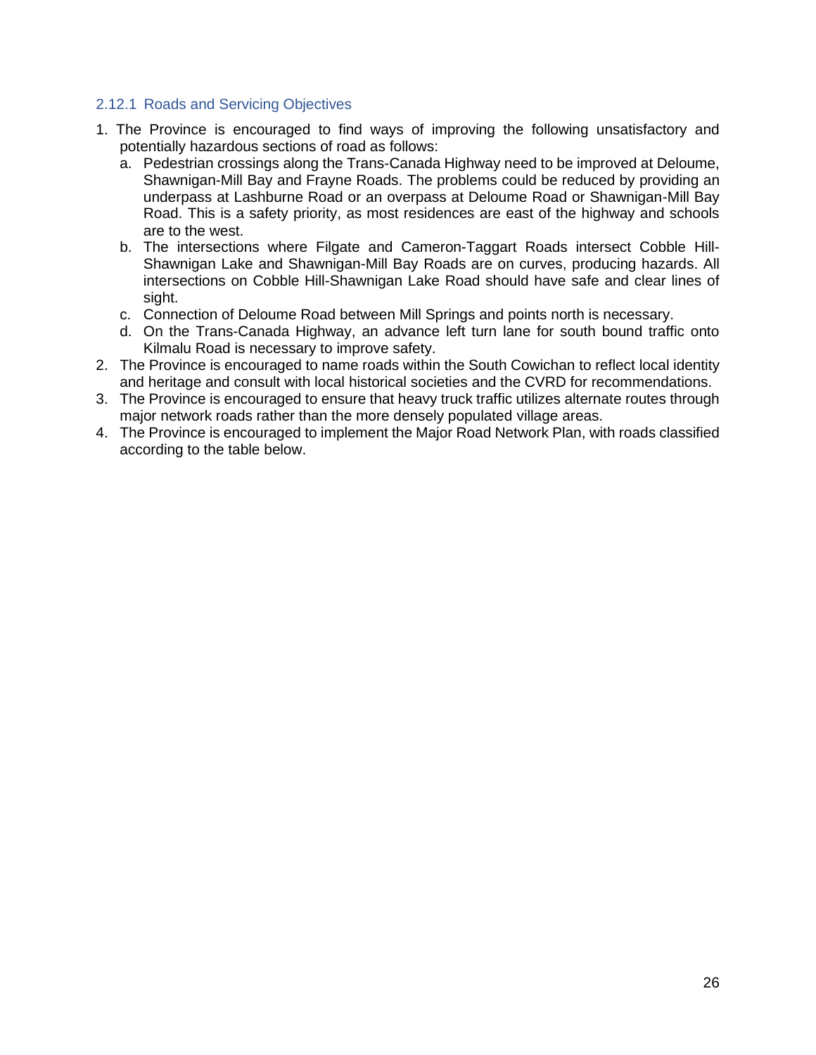## <span id="page-27-0"></span>2.12.1 Roads and Servicing Objectives

- 1. The Province is encouraged to find ways of improving the following unsatisfactory and potentially hazardous sections of road as follows:
	- a. Pedestrian crossings along the Trans-Canada Highway need to be improved at Deloume, Shawnigan-Mill Bay and Frayne Roads. The problems could be reduced by providing an underpass at Lashburne Road or an overpass at Deloume Road or Shawnigan-Mill Bay Road. This is a safety priority, as most residences are east of the highway and schools are to the west.
	- b. The intersections where Filgate and Cameron-Taggart Roads intersect Cobble Hill-Shawnigan Lake and Shawnigan-Mill Bay Roads are on curves, producing hazards. All intersections on Cobble Hill-Shawnigan Lake Road should have safe and clear lines of sight.
	- c. Connection of Deloume Road between Mill Springs and points north is necessary.
	- d. On the Trans-Canada Highway, an advance left turn lane for south bound traffic onto Kilmalu Road is necessary to improve safety.
- 2. The Province is encouraged to name roads within the South Cowichan to reflect local identity and heritage and consult with local historical societies and the CVRD for recommendations.
- 3. The Province is encouraged to ensure that heavy truck traffic utilizes alternate routes through major network roads rather than the more densely populated village areas.
- 4. The Province is encouraged to implement the Major Road Network Plan, with roads classified according to the table below.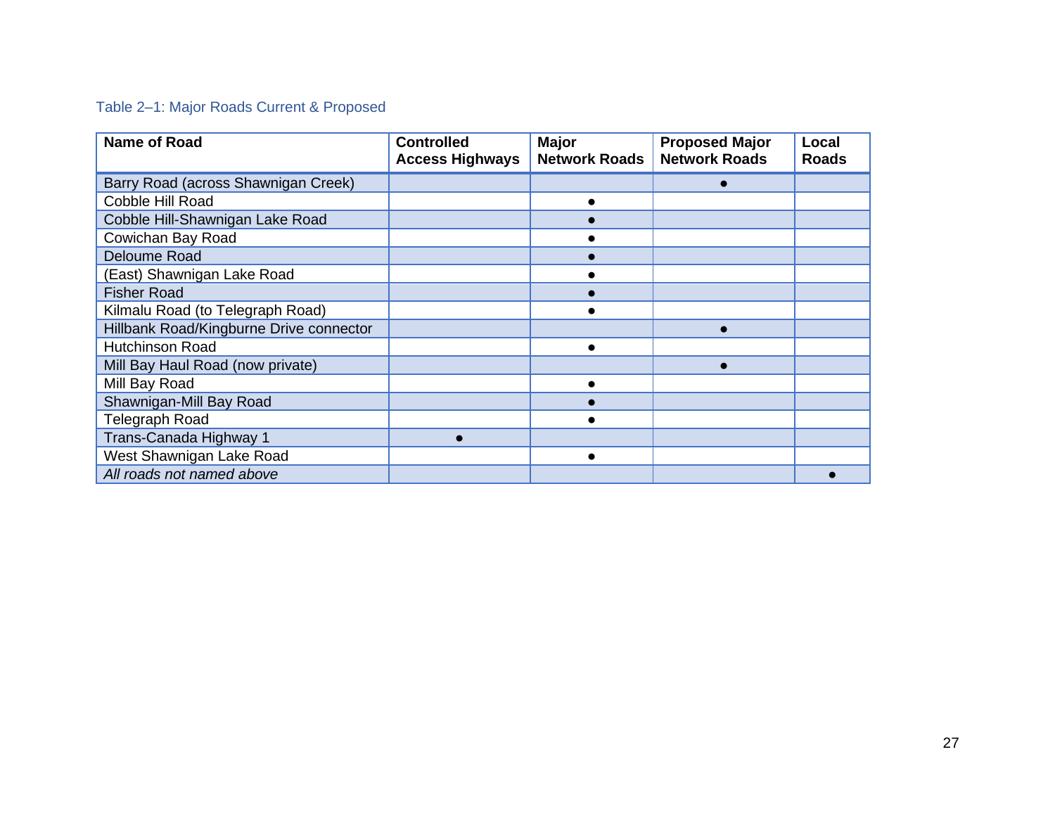# Table 2–1: Major Roads Current & Proposed

<span id="page-28-0"></span>

| <b>Name of Road</b>                     | <b>Controlled</b><br><b>Access Highways</b> | <b>Major</b><br><b>Network Roads</b> | <b>Proposed Major</b><br><b>Network Roads</b> | Local<br><b>Roads</b> |
|-----------------------------------------|---------------------------------------------|--------------------------------------|-----------------------------------------------|-----------------------|
| Barry Road (across Shawnigan Creek)     |                                             |                                      |                                               |                       |
| Cobble Hill Road                        |                                             |                                      |                                               |                       |
| Cobble Hill-Shawnigan Lake Road         |                                             |                                      |                                               |                       |
| Cowichan Bay Road                       |                                             |                                      |                                               |                       |
| Deloume Road                            |                                             |                                      |                                               |                       |
| (East) Shawnigan Lake Road              |                                             |                                      |                                               |                       |
| <b>Fisher Road</b>                      |                                             |                                      |                                               |                       |
| Kilmalu Road (to Telegraph Road)        |                                             |                                      |                                               |                       |
| Hillbank Road/Kingburne Drive connector |                                             |                                      |                                               |                       |
| <b>Hutchinson Road</b>                  |                                             |                                      |                                               |                       |
| Mill Bay Haul Road (now private)        |                                             |                                      |                                               |                       |
| Mill Bay Road                           |                                             |                                      |                                               |                       |
| Shawnigan-Mill Bay Road                 |                                             |                                      |                                               |                       |
| Telegraph Road                          |                                             |                                      |                                               |                       |
| Trans-Canada Highway 1                  |                                             |                                      |                                               |                       |
| West Shawnigan Lake Road                |                                             |                                      |                                               |                       |
| All roads not named above               |                                             |                                      |                                               |                       |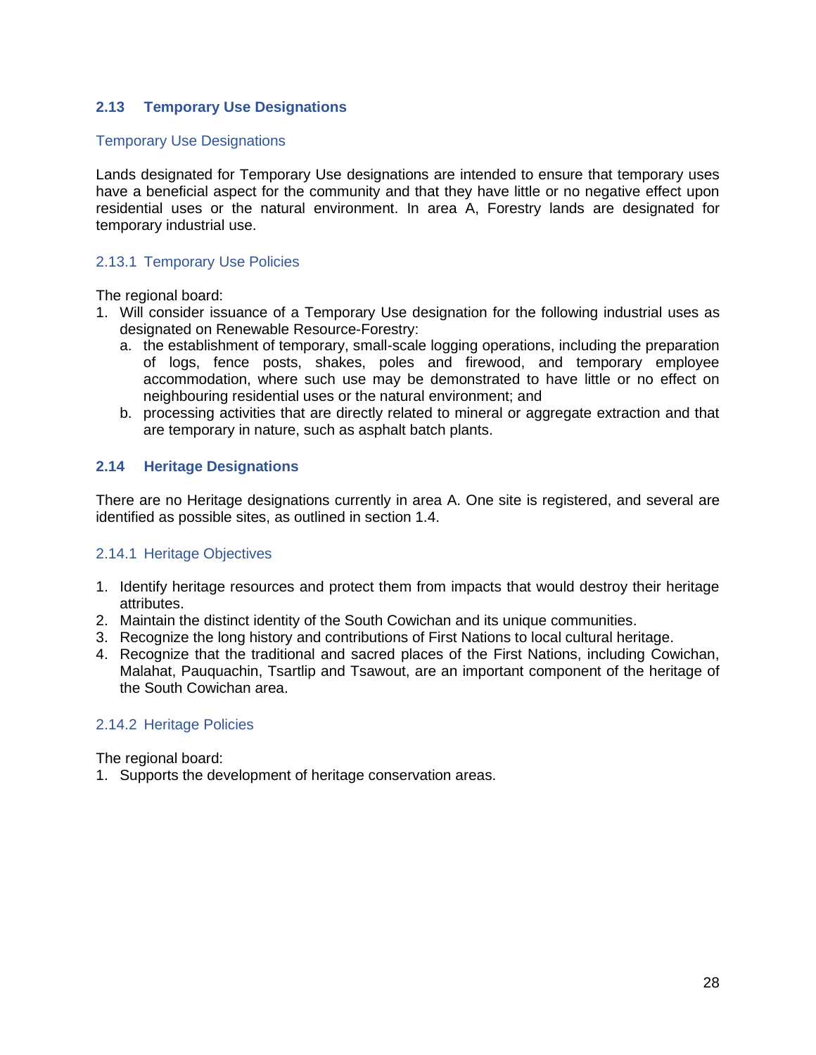## <span id="page-29-0"></span>**2.13 Temporary Use Designations**

#### Temporary Use Designations

Lands designated for Temporary Use designations are intended to ensure that temporary uses have a beneficial aspect for the community and that they have little or no negative effect upon residential uses or the natural environment. In area A, Forestry lands are designated for temporary industrial use.

#### <span id="page-29-1"></span>2.13.1 Temporary Use Policies

The regional board:

- 1. Will consider issuance of a Temporary Use designation for the following industrial uses as designated on Renewable Resource-Forestry:
	- a. the establishment of temporary, small-scale logging operations, including the preparation of logs, fence posts, shakes, poles and firewood, and temporary employee accommodation, where such use may be demonstrated to have little or no effect on neighbouring residential uses or the natural environment; and
	- b. processing activities that are directly related to mineral or aggregate extraction and that are temporary in nature, such as asphalt batch plants.

## <span id="page-29-2"></span>**2.14 Heritage Designations**

There are no Heritage designations currently in area A. One site is registered, and several are identified as possible sites, as outlined in section 1.4.

#### <span id="page-29-3"></span>2.14.1 Heritage Objectives

- 1. Identify heritage resources and protect them from impacts that would destroy their heritage attributes.
- 2. Maintain the distinct identity of the South Cowichan and its unique communities.
- 3. Recognize the long history and contributions of First Nations to local cultural heritage.
- 4. Recognize that the traditional and sacred places of the First Nations, including Cowichan, Malahat, Pauquachin, Tsartlip and Tsawout, are an important component of the heritage of the South Cowichan area.

#### <span id="page-29-4"></span>2.14.2 Heritage Policies

The regional board:

1. Supports the development of heritage conservation areas.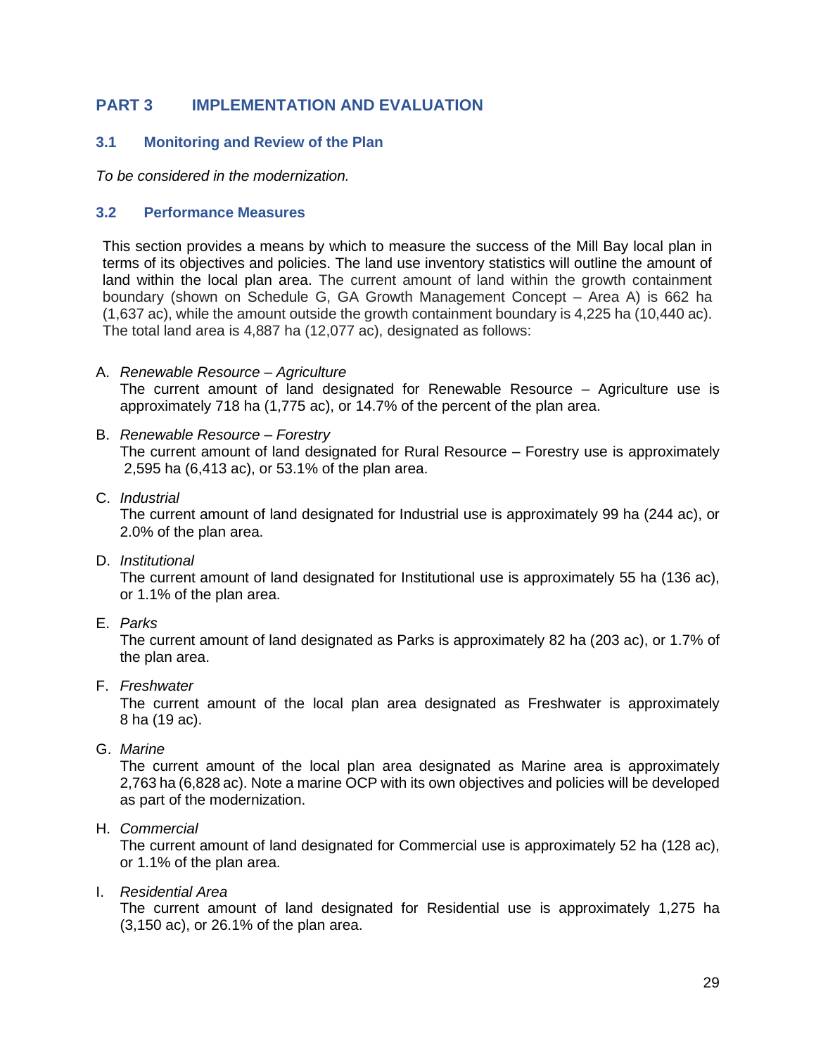# <span id="page-30-0"></span>**PART 3 IMPLEMENTATION AND EVALUATION**

## <span id="page-30-1"></span>**3.1 Monitoring and Review of the Plan**

*To be considered in the modernization.*

#### <span id="page-30-2"></span>**3.2 Performance Measures**

This section provides a means by which to measure the success of the Mill Bay local plan in terms of its objectives and policies. The land use inventory statistics will outline the amount of land within the local plan area. The current amount of land within the growth containment boundary (shown on Schedule G, GA Growth Management Concept – Area A) is 662 ha (1,637 ac), while the amount outside the growth containment boundary is 4,225 ha (10,440 ac). The total land area is 4,887 ha (12,077 ac), designated as follows:

A. *Renewable Resource – Agriculture*

The current amount of land designated for Renewable Resource – Agriculture use is approximately 718 ha (1,775 ac), or 14.7% of the percent of the plan area.

- B. *Renewable Resource – Forestry* The current amount of land designated for Rural Resource – Forestry use is approximately 2,595 ha (6,413 ac), or 53.1% of the plan area.
- C. *Industrial*

The current amount of land designated for Industrial use is approximately 99 ha (244 ac), or 2.0% of the plan area.

D. *Institutional*

The current amount of land designated for Institutional use is approximately 55 ha (136 ac), or 1.1% of the plan area.

E. *Parks*

The current amount of land designated as Parks is approximately 82 ha (203 ac), or 1.7% of the plan area.

F. *Freshwater*

The current amount of the local plan area designated as Freshwater is approximately 8 ha (19 ac).

G. *Marine*

The current amount of the local plan area designated as Marine area is approximately 2,763 ha (6,828 ac). Note a marine OCP with its own objectives and policies will be developed as part of the modernization.

H. *Commercial*

The current amount of land designated for Commercial use is approximately 52 ha (128 ac), or 1.1% of the plan area.

I. *Residential Area*

The current amount of land designated for Residential use is approximately 1,275 ha (3,150 ac), or 26.1% of the plan area.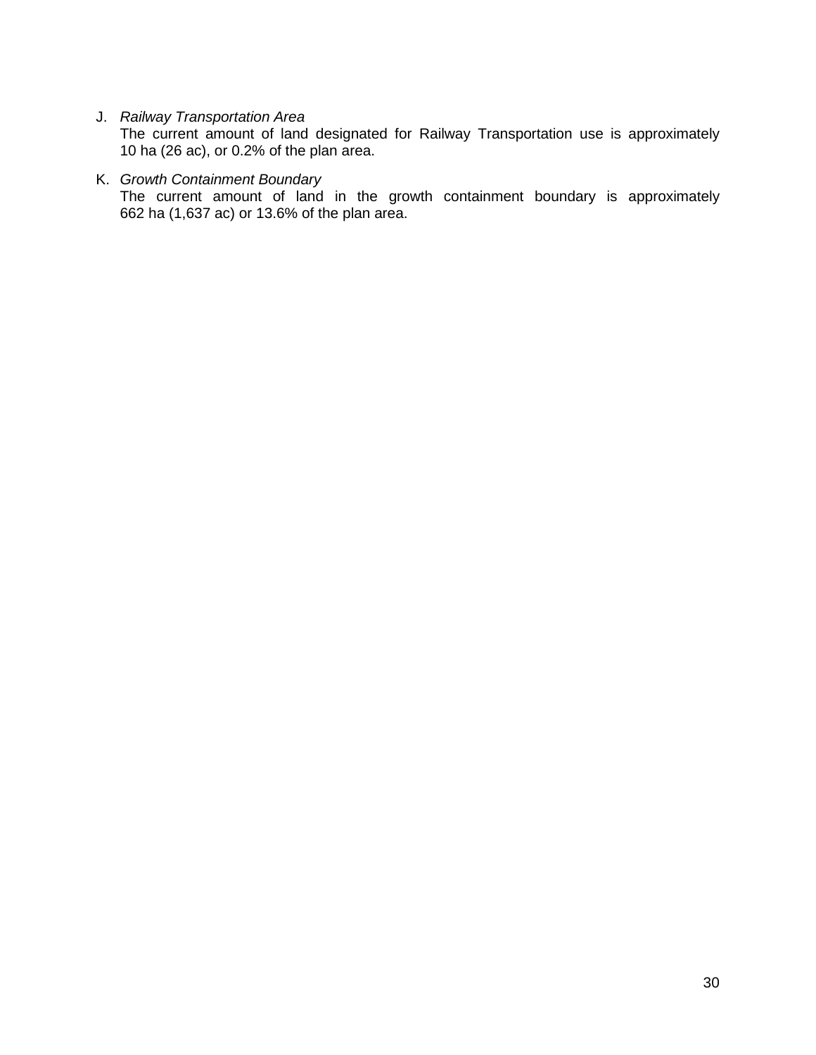## J. *Railway Transportation Area*

The current amount of land designated for Railway Transportation use is approximately 10 ha (26 ac), or 0.2% of the plan area.

#### K. *Growth Containment Boundary*

The current amount of land in the growth containment boundary is approximately 662 ha (1,637 ac) or 13.6% of the plan area.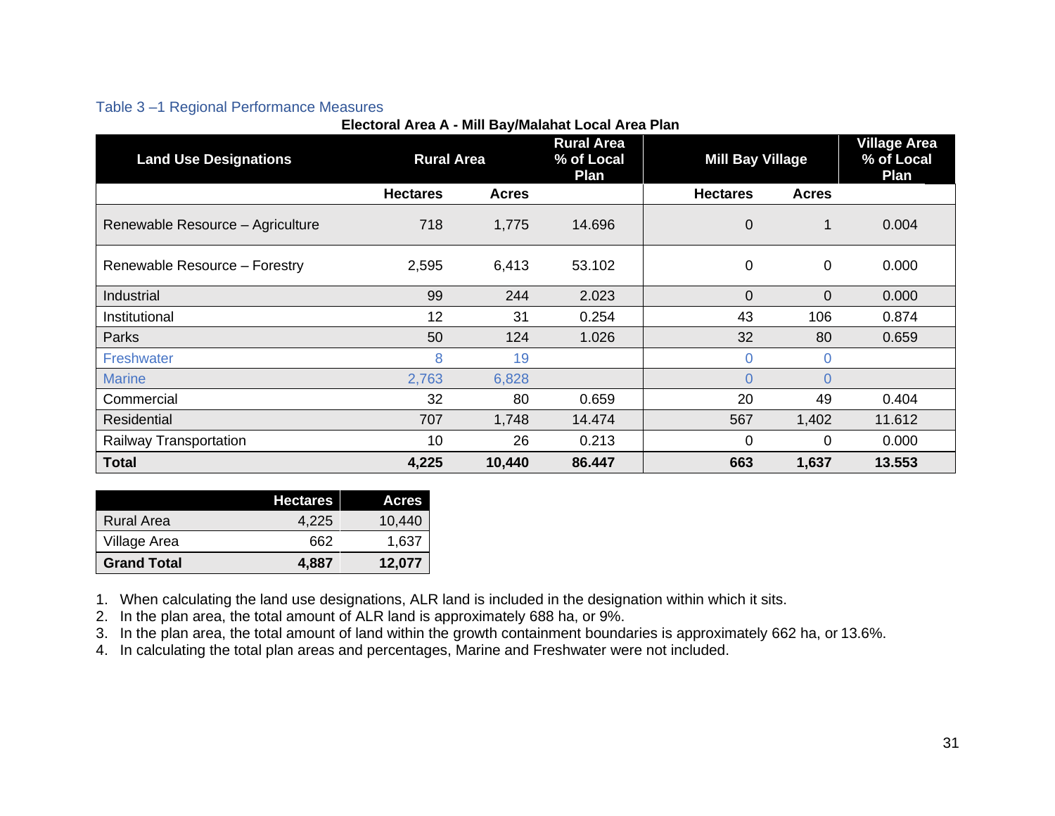## Table 3 –1 Regional Performance Measures

|                                  | Little Article And Milli Day Malandi Lotal Article Fight |              |                                         |                         |              |                                           |
|----------------------------------|----------------------------------------------------------|--------------|-----------------------------------------|-------------------------|--------------|-------------------------------------------|
| <b>Land Use Designations</b>     | <b>Rural Area</b>                                        |              | <b>Rural Area</b><br>% of Local<br>Plan | <b>Mill Bay Village</b> |              | <b>Village Area</b><br>% of Local<br>Plan |
|                                  | <b>Hectares</b>                                          | <b>Acres</b> |                                         | <b>Hectares</b>         | <b>Acres</b> |                                           |
| Renewable Resource - Agriculture | 718                                                      | 1,775        | 14.696                                  | $\overline{0}$          | 1            | 0.004                                     |
| Renewable Resource - Forestry    | 2,595                                                    | 6,413        | 53.102                                  | $\mathbf 0$             | 0            | 0.000                                     |
| Industrial                       | 99                                                       | 244          | 2.023                                   | $\Omega$                | $\Omega$     | 0.000                                     |
| Institutional                    | 12                                                       | 31           | 0.254                                   | 43                      | 106          | 0.874                                     |
| Parks                            | 50                                                       | 124          | 1.026                                   | 32                      | 80           | 0.659                                     |
| Freshwater                       | 8                                                        | 19           |                                         | $\overline{0}$          | $\Omega$     |                                           |
| <b>Marine</b>                    | 2,763                                                    | 6,828        |                                         | $\Omega$                | $\Omega$     |                                           |
| Commercial                       | 32                                                       | 80           | 0.659                                   | 20                      | 49           | 0.404                                     |
| Residential                      | 707                                                      | 1,748        | 14.474                                  | 567                     | 1,402        | 11.612                                    |
| Railway Transportation           | 10                                                       | 26           | 0.213                                   | $\Omega$                | 0            | 0.000                                     |
| <b>Total</b>                     | 4,225                                                    | 10,440       | 86.447                                  | 663                     | 1,637        | 13.553                                    |

<span id="page-32-0"></span>

|                    | <b>Hectares</b> | <b>Acres</b> |
|--------------------|-----------------|--------------|
| <b>Rural Area</b>  | 4.225           | 10.440       |
| Village Area       | 662             | 1,637        |
| <b>Grand Total</b> | 4.887           | 12,077       |

1. When calculating the land use designations, ALR land is included in the designation within which it sits.

2. In the plan area, the total amount of ALR land is approximately 688 ha, or 9%.

3. In the plan area, the total amount of land within the growth containment boundaries is approximately 662 ha, or 13.6%.

4. In calculating the total plan areas and percentages, Marine and Freshwater were not included.